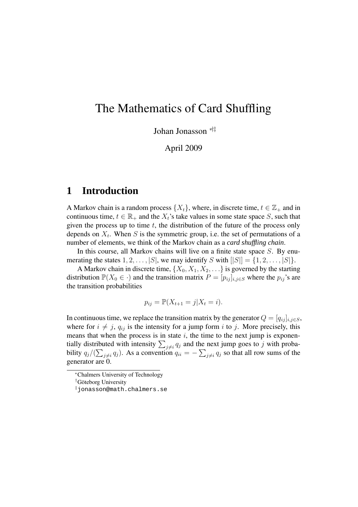# The Mathematics of Card Shuffling

Johan Jonasson ∗†‡

April 2009

## **1 Introduction**

A Markov chain is a random process  $\{X_t\}$ , where, in discrete time,  $t \in \mathbb{Z}_+$  and in continuous time,  $t \in \mathbb{R}_+$  and the  $X_t$ 's take values in some state space S, such that given the process up to time  $t$ , the distribution of the future of the process only depends on  $X_t$ . When S is the symmetric group, i.e. the set of permutations of a number of elements, we think of the Markov chain as a *card shuffling chain*.

In this course, all Markov chains will live on a finite state space  $S$ . By enumerating the states  $1, 2, \ldots, |S|$ , we may identify S with  $||S|| = \{1, 2, \ldots, |S|\}$ .

A Markov chain in discrete time,  $\{X_0, X_1, X_2, \ldots\}$  is governed by the starting distribution  $\mathbb{P}(X_0 \in \cdot)$  and the transition matrix  $P = [p_{ij}]_{i,j \in S}$  where the  $p_{ij}$ 's are the transition probabilities

$$
p_{ij} = \mathbb{P}(X_{t+1} = j | X_t = i).
$$

In continuous time, we replace the transition matrix by the generator  $Q = [q_{ij}]_{i,j \in S}$ , where for  $i \neq j$ ,  $q_{ij}$  is the intensity for a jump form i to j. More precisely, this means that when the process is in state  $i$ , the time to the next jump is exponentially distributed with intensity  $\sum_{j\neq i} q_j$  and the next jump goes to j with probability  $q_j/(\sum_{j\neq i}q_j)$ . As a convention  $q_{ii} = -\sum_{j\neq i}q_j$  so that all row sums of the generator are 0.

<sup>∗</sup>Chalmers University of Technology

 $\dagger$ Göteborg University

<sup>‡</sup>jonasson@math.chalmers.se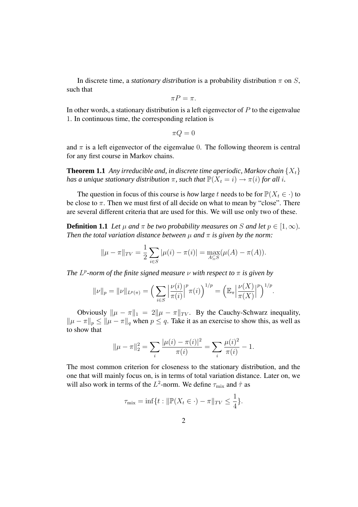In discrete time, a *stationary distribution* is a probability distribution  $\pi$  on S, such that

$$
\pi P = \pi.
$$

In other words, a stationary distribution is a left eigenvector of  $P$  to the eigenvalue 1. In continuous time, the corresponding relation is

$$
\pi Q=0
$$

and  $\pi$  is a left eigenvector of the eigenvalue 0. The following theorem is central for any first course in Markov chains.

**Theorem 1.1** Any *irreducible and, in discrete time aperiodic, Markov chain*  $\{X_t\}$ *has a unique stationary distribution*  $\pi$ *, such that*  $\mathbb{P}(X_t = i) \to \pi(i)$  *for all i.* 

The question in focus of this course is *how* large t needs to be for  $\mathbb{P}(X_t \in \cdot)$  to be close to  $\pi$ . Then we must first of all decide on what to mean by "close". There are several different criteria that are used for this. We will use only two of these.

**Definition 1.1** *Let*  $\mu$  *and*  $\pi$  *be two probability measures on S and let*  $p \in [1, \infty)$ *. Then the total variation distance between*  $\mu$  *and*  $\pi$  *is given by the norm:* 

$$
\|\mu - \pi\|_{TV} = \frac{1}{2} \sum_{i \in S} |\mu(i) - \pi(i)| = \max_{A \subseteq S} (\mu(A) - \pi(A)).
$$

*The*  $L^p$ -norm of the finite signed measure  $\nu$  with respect to  $\pi$  is given by

$$
\|\nu\|_{p} = \|\nu\|_{L^{p}(\pi)} = \left(\sum_{i \in S} \left|\frac{\nu(i)}{\pi(i)}\right|^{p} \pi(i)\right)^{1/p} = \left(\mathbb{E}_{\pi} \left|\frac{\nu(X)}{\pi(X)}\right|^{p}\right)^{1/p}.
$$

Obviously  $\|\mu - \pi\|_1 = 2\|\mu - \pi\|_{TV}$ . By the Cauchy-Schwarz inequality,  $\|\mu - \pi\|_p \le \|\mu - \pi\|_q$  when  $p \le q$ . Take it as an exercise to show this, as well as to show that

$$
\|\mu - \pi\|_2^2 = \sum_i \frac{|\mu(i) - \pi(i)|^2}{\pi(i)} = \sum_i \frac{\mu(i)^2}{\pi(i)} - 1.
$$

The most common criterion for closeness to the stationary distribution, and the one that will mainly focus on, is in terms of total variation distance. Later on, we will also work in terms of the  $L^2$ -norm. We define  $\tau_{\text{mix}}$  and  $\hat{\tau}$  as

$$
\tau_{\text{mix}} = \inf\{t : \|\mathbb{P}(X_t \in \cdot) - \pi\|_{TV} \le \frac{1}{4}\}.
$$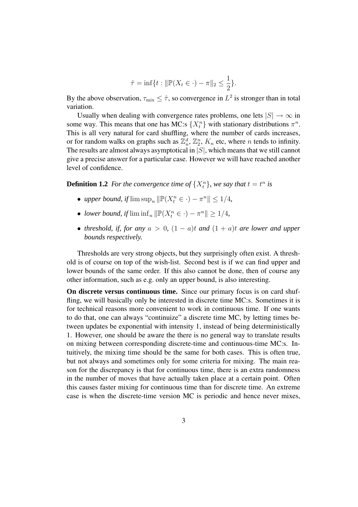$$
\hat{\tau} = \inf\{t : ||\mathbb{P}(X_t \in \cdot) - \pi||_2 \le \frac{1}{2}\}.
$$

By the above observation,  $\tau_{\text{mix}} \leq \hat{\tau}$ , so convergence in  $L^2$  is stronger than in total variation.

Usually when dealing with convergence rates problems, one lets  $|S| \to \infty$  in some way. This means that one has MC:s  $\{X_t^n\}$  with stationary distributions  $\pi^n$ . This is all very natural for card shuffling, where the number of cards increases, or for random walks on graphs such as  $\mathbb{Z}_n^d$ ,  $\mathbb{Z}_2^n$ ,  $K_n$  etc, where n tends to infinity. The results are almost always asymptotical in  $|S|$ , which means that we still cannot give a precise answer for a particular case. However we will have reached another level of confidence.

**Definition 1.2** For the convergence time of  $\{X_t^n\}$ , we say that  $t = t^n$  is

- *upper bound, if*  $\limsup_n \|\mathbb{P}(X_i^n \in \cdot) \pi^n\| \leq 1/4$ ,
- *lower bound, if*  $\liminf_n ||\mathbb{P}(X_i^n \in \cdot) \pi^n|| \geq 1/4$ ,
- *threshold, if, for any*  $a > 0$ ,  $(1 a)t$  *and*  $(1 + a)t$  *are lower and upper bounds respectively.*

Thresholds are very strong objects, but they surprisingly often exist. A threshold is of course on top of the wish-list. Second best is if we can find upper and lower bounds of the same order. If this also cannot be done, then of course any other information, such as e.g. only an upper bound, is also interesting.

**On discrete versus continuous time.** Since our primary focus is on card shuffling, we will basically only be interested in discrete time MC:s. Sometimes it is for technical reasons more convenient to work in continuous time. If one wants to do that, one can always "continuize" a discrete time MC, by letting times between updates be exponential with intensity 1, instead of being deterministically 1. However, one should be aware the there is no general way to translate results on mixing between corresponding discrete-time and continuous-time MC:s. Intuitively, the mixing time should be the same for both cases. This is often true, but not always and sometimes only for some criteria for mixing. The main reason for the discrepancy is that for continuous time, there is an extra randomness in the number of moves that have actually taken place at a certain point. Often this causes faster mixing for continuous time than for discrete time. An extreme case is when the discrete-time version MC is periodic and hence never mixes,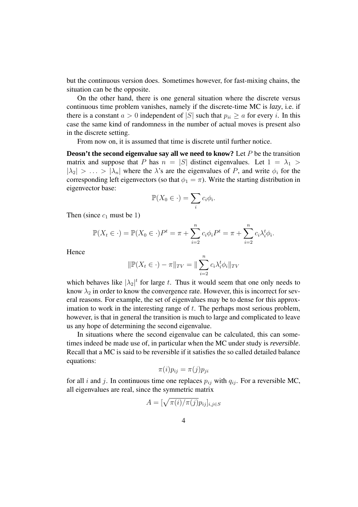but the continuous version does. Sometimes however, for fast-mixing chains, the situation can be the opposite.

On the other hand, there is one general situation where the discrete versus continuous time problem vanishes, namely if the discrete-time MC is *lazy*, i.e. if there is a constant  $a > 0$  independent of |S| such that  $p_{ii} \ge a$  for every i. In this case the same kind of randomness in the number of actual moves is present also in the discrete setting.

From now on, it is assumed that time is discrete until further notice.

**Deosn't the second eigenvalue say all we need to know?** Let P be the transition matrix and suppose that P has  $n = |S|$  distinct eigenvalues. Let  $1 = \lambda_1$  $|\lambda_2| > \ldots > |\lambda_n|$  where the  $\lambda$ 's are the eigenvalues of P, and write  $\phi_i$  for the corresponding left eigenvectors (so that  $\phi_1 = \pi$ ). Write the starting distribution in eigenvector base:

$$
\mathbb{P}(X_0 \in \cdot) = \sum_i c_i \phi_i.
$$

Then (since  $c_1$  must be 1)

$$
\mathbb{P}(X_t \in \cdot) = \mathbb{P}(X_0 \in \cdot)P^t = \pi + \sum_{i=2}^n c_i \phi_i P^t = \pi + \sum_{i=2}^n c_i \lambda_i^t \phi_i.
$$

Hence

$$
\|\mathbb{P}(X_t \in \cdot) - \pi\|_{TV} = \|\sum_{i=2}^n c_i \lambda_i^t \phi_i\|_{TV}
$$

which behaves like  $|\lambda_2|^t$  for large t. Thus it would seem that one only needs to know  $\lambda_2$  in order to know the convergence rate. However, this is incorrect for several reasons. For example, the set of eigenvalues may be to dense for this approximation to work in the interesting range of  $t$ . The perhaps most serious problem, however, is that in general the transition is much to large and complicated to leave us any hope of determining the second eigenvalue.

In situations where the second eigenvalue can be calculated, this can sometimes indeed be made use of, in particular when the MC under study is *reversible*. Recall that a MC is said to be reversible if it satisfies the so called detailed balance equations:

$$
\pi(i)p_{ij} = \pi(j)p_{ji}
$$

for all i and j. In continuous time one replaces  $p_{ij}$  with  $q_{ij}$ . For a reversible MC, all eigenvalues are real, since the symmetric matrix

$$
A = [\sqrt{\pi(i)/\pi(j)}p_{ij}]_{i,j \in S}
$$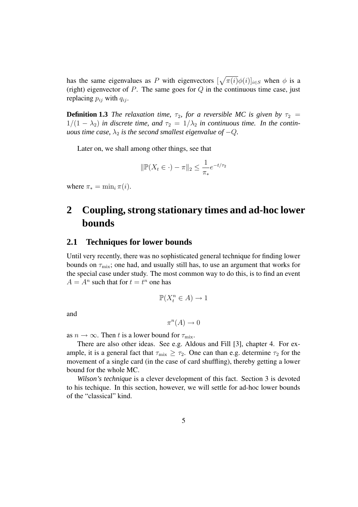has the same eigenvalues as P with eigenvectors  $[\sqrt{\pi(i)}\phi(i)]_{i\in S}$  when  $\phi$  is a (right) eigenvector of  $P$ . The same goes for  $Q$  in the continuous time case, just replacing  $p_{ij}$  with  $q_{ij}$ .

**Definition 1.3** *The relaxation time,*  $\tau_2$ *, for a reversible MC is given by*  $\tau_2$  =  $1/(1 - \lambda_2)$  *in discrete time, and*  $\tau_2 = 1/\lambda_2$  *in continuous time. In the continuous time case,*  $\lambda_2$  *is the second smallest eigenvalue of*  $-Q$ *.* 

Later on, we shall among other things, see that

$$
\|\mathbb{P}(X_t \in \cdot) - \pi\|_2 \le \frac{1}{\pi_*} e^{-t/\tau_2}
$$

where  $\pi_* = \min_i \pi(i)$ .

# **2 Coupling, strong stationary times and ad-hoc lower bounds**

### **2.1 Techniques for lower bounds**

Until very recently, there was no sophisticated general technique for finding lower bounds on  $\tau_{\text{mix}}$ ; one had, and usually still has, to use an argument that works for the special case under study. The most common way to do this, is to find an event  $A = A^n$  such that for  $t = t^n$  one has

$$
\mathbb{P}(X_t^n \in A) \to 1
$$

and

$$
\pi^n(A) \to 0
$$

as  $n \to \infty$ . Then t is a lower bound for  $\tau_{\text{mix}}$ .

There are also other ideas. See e.g. Aldous and Fill [3], chapter 4. For example, it is a general fact that  $\tau_{\text{mix}} \geq \tau_2$ . One can than e.g. determine  $\tau_2$  for the movement of a single card (in the case of card shuffling), thereby getting a lower bound for the whole MC.

*Wilson's technique* is a clever development of this fact. Section 3 is devoted to his techique. In this section, however, we will settle for ad-hoc lower bounds of the "classical" kind.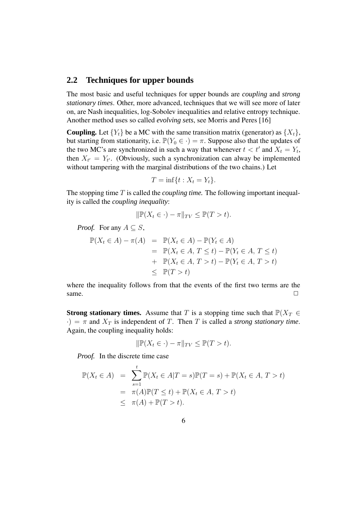### **2.2 Techniques for upper bounds**

The most basic and useful techniques for upper bounds are *coupling* and *strong stationary times*. Other, more advanced, techniques that we will see more of later on, are Nash inequalities, log-Sobolev inequalities and relative entropy technique. Another method uses so called *evolving sets*, see Morris and Peres [16]

**Coupling.** Let  ${Y_t}$  be a MC with the same transition matrix (generator) as  ${X_t}$ , but starting from stationarity, i.e.  $\mathbb{P}(Y_0 \in \cdot) = \pi$ . Suppose also that the updates of the two MC's are synchronized in such a way that whenever  $t < t'$  and  $X_t = Y_t$ , then  $X_{t'} = Y_{t'}$ . (Obviously, such a synchronization can alway be implemented without tampering with the marginal distributions of the two chains.) Let

$$
T = \inf\{t : X_t = Y_t\}.
$$

The stopping time T is called the *coupling time.* The following important inequality is called the *coupling inequality*:

$$
\|\mathbb{P}(X_t \in \cdot) - \pi\|_{TV} \le \mathbb{P}(T > t).
$$

*Proof.* For any  $A \subseteq S$ ,

$$
\mathbb{P}(X_t \in A) - \pi(A) = \mathbb{P}(X_t \in A) - \mathbb{P}(Y_t \in A)
$$
  
\n
$$
= \mathbb{P}(X_t \in A, T \le t) - \mathbb{P}(Y_t \in A, T \le t)
$$
  
\n
$$
+ \mathbb{P}(X_t \in A, T > t) - \mathbb{P}(Y_t \in A, T > t)
$$
  
\n
$$
\le \mathbb{P}(T > t)
$$

where the inequality follows from that the events of the first two terms are the same.  $\Box$ 

**Strong stationary times.** Assume that T is a stopping time such that  $P(X_T \in$  $\cdot$ ) =  $\pi$  and  $X_T$  is independent of T. Then T is called a *strong stationary time*. Again, the coupling inequality holds:

$$
\|\mathbb{P}(X_t \in \cdot) - \pi\|_{TV} \le \mathbb{P}(T > t).
$$

*Proof.* In the discrete time case

$$
\mathbb{P}(X_t \in A) = \sum_{s=1}^t \mathbb{P}(X_t \in A | T = s) \mathbb{P}(T = s) + \mathbb{P}(X_t \in A, T > t)
$$
  
=  $\pi(A) \mathbb{P}(T \le t) + \mathbb{P}(X_t \in A, T > t)$   
 $\le \pi(A) + \mathbb{P}(T > t).$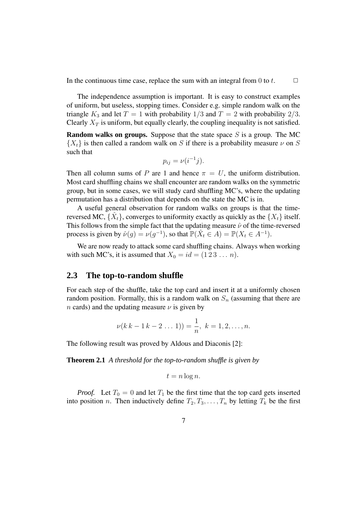In the continuous time case, replace the sum with an integral from 0 to t.  $\Box$ 

The independence assumption is important. It is easy to construct examples of uniform, but useless, stopping times. Consider e.g. simple random walk on the triangle  $K_3$  and let  $T = 1$  with probability  $1/3$  and  $T = 2$  with probability  $2/3$ . Clearly  $X_T$  is uniform, but equally clearly, the coupling inequality is not satisfied.

**Random walks on groups.** Suppose that the state space S is a group. The MC  ${X<sub>t</sub>}$  is then called a random walk on S if there is a probability measure  $\nu$  on S such that

$$
p_{ij} = \nu(i^{-1}j).
$$

Then all column sums of P are 1 and hence  $\pi = U$ , the uniform distribution. Most card shuffling chains we shall encounter are random walks on the symmetric group, but in some cases, we will study card shuffling MC's, where the updating permutation has a distribution that depends on the state the MC is in.

A useful general observation for random walks on groups is that the timereversed MC,  $\{\hat{X}_t\}$ , converges to uniformity exactly as quickly as the  $\{X_t\}$  itself. This follows from the simple fact that the updating measure  $\hat{\nu}$  of the time-reversed process is given by  $\hat{\nu}(g) = \nu(g^{-1})$ , so that  $\mathbb{P}(\hat{X}_t \in A) = \mathbb{P}(X_t \in A^{-1})$ .

We are now ready to attack some card shuffling chains. Always when working with such MC's, it is assumed that  $X_0 = id = (1\ 2\ 3\ \dots\ n)$ .

### **2.3 The top-to-random shuffle**

For each step of the shuffle, take the top card and insert it at a uniformly chosen random position. Formally, this is a random walk on  $S_n$  (assuming that there are n cards) and the updating measure  $\nu$  is given by

$$
\nu(k k - 1 k - 2 \dots 1)) = \frac{1}{n}, \ k = 1, 2, \dots, n.
$$

The following result was proved by Aldous and Diaconis [2]:

**Theorem 2.1** *A threshold for the top-to-random shuffle is given by*

$$
t = n \log n.
$$

*Proof.* Let  $T_0 = 0$  and let  $T_1$  be the first time that the top card gets inserted into position n. Then inductively define  $T_2, T_3, \ldots, T_n$  by letting  $T_k$  be the first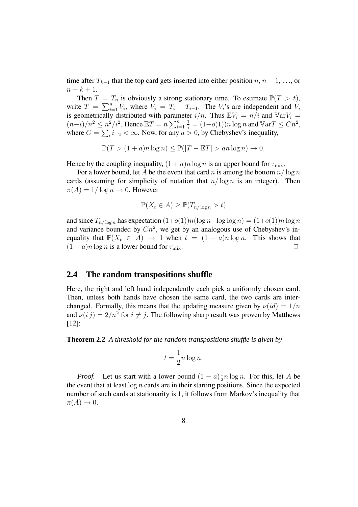time after  $T_{k-1}$  that the top card gets inserted into either position  $n, n-1, \ldots$ , or  $n - k + 1$ .

Then  $T = T_n$  is obviously a strong stationary time. To estimate  $\mathbb{P}(T > t)$ , write  $T = \sum_{i=1}^{n} V_i$ , where  $V_i = T_i - T_{i-1}$ . The  $V_i$ 's are independent and  $V_i$ is geometrically distributed with parameter  $i/n$ . Thus  $\mathbb{E}V_i = n/i$  and  $\mathbb{V}(\text{ar}V_i) =$  $(n-i)/n^2 \leq n^2/i^2$ . Hence  $\mathbb{E}T = n \sum_{i=1}^n$  $\frac{1}{i} = (1+o(1))n \log n$  and  $\mathbb{V}arT \leq Cn^2$ , where  $C = \sum_i i_{-2} < \infty$ . Now, for any  $a > 0$ , by Chebyshev's inequality,

$$
\mathbb{P}(T > (1+a)n \log n) \le \mathbb{P}(|T - \mathbb{E}T| > an \log n) \to 0.
$$

Hence by the coupling inequality,  $(1 + a)n \log n$  is an upper bound for  $\tau_{\text{mix}}$ .

For a lower bound, let A be the event that card n is among the bottom  $n/\log n$ cards (assuming for simplicity of notation that  $n/\log n$  is an integer). Then  $\pi(A) = 1/\log n \to 0$ . However

$$
\mathbb{P}(X_t \in A) \ge \mathbb{P}(T_{n/\log n} > t)
$$

and since  $T_{n/\log n}$  has expectation  $(1+o(1))n(\log n - \log \log n) = (1+o(1))n \log n$ and variance bounded by  $Cn^2$ , we get by an analogous use of Chebyshev's inequality that  $\mathbb{P}(X_t \in A) \to 1$  when  $t = (1 - a)n \log n$ . This shows that  $(1 - a)n \log n$  is a lower bound for  $\tau_{\text{mix}}$ .  $(1 - a)n \log n$  is a lower bound for  $\tau_{\text{mix}}$ .

### **2.4 The random transpositions shuffle**

Here, the right and left hand independently each pick a uniformly chosen card. Then, unless both hands have chosen the same card, the two cards are interchanged. Formally, this means that the updating measure given by  $\nu(id) = 1/n$ and  $\nu(i j) = 2/n^2$  for  $i \neq j$ . The following sharp result was proven by Matthews [12]:

**Theorem 2.2** *A threshold for the random transpositions shuffle is given by*

$$
t = \frac{1}{2}n\log n.
$$

*Proof.* Let us start with a lower bound  $(1 - a) \frac{1}{2}$  $\frac{1}{2}n \log n$ . For this, let A be the event that at least  $\log n$  cards are in their starting positions. Since the expected number of such cards at stationarity is 1, it follows from Markov's inequality that  $\pi(A) \to 0.$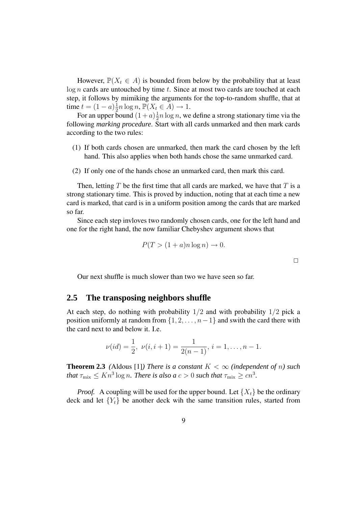However,  $\mathbb{P}(X_t \in A)$  is bounded from below by the probability that at least  $log n$  cards are untouched by time  $t$ . Since at most two cards are touched at each step, it follows by mimiking the arguments for the top-to-random shuffle, that at time  $t = (1 - a)\frac{1}{2}n \log n$ ,  $\mathbb{P}(X_t \in A) \to 1$ .

For an upper bound  $(1+a)^{\frac{1}{2}}$  $\frac{1}{2}n \log n$ , we define a strong stationary time via the following *marking procedure*. Start with all cards unmarked and then mark cards according to the two rules:

- (1) If both cards chosen are unmarked, then mark the card chosen by the left hand. This also applies when both hands chose the same unmarked card.
- (2) If only one of the hands chose an unmarked card, then mark this card.

Then, letting T be the first time that all cards are marked, we have that T is a strong stationary time. This is proved by induction, noting that at each time a new card is marked, that card is in a uniform position among the cards that are marked so far.

Since each step invloves two randomly chosen cards, one for the left hand and one for the right hand, the now familiar Chebyshev argument shows that

$$
P(T > (1+a)n \log n) \to 0.
$$

Our next shuffle is much slower than two we have seen so far.

### **2.5 The transposing neighbors shuffle**

At each step, do nothing with probability  $1/2$  and with probability  $1/2$  pick a position uniformly at random from  $\{1, 2, \ldots, n-1\}$  and swith the card there with the card next to and below it. I.e.

$$
\nu(id) = \frac{1}{2}, \ \nu(i, i+1) = \frac{1}{2(n-1)}, \ i = 1, \dots, n-1.
$$

**Theorem 2.3** (Aldous [1]*) There is a constant*  $K < \infty$  *(independent of n) such that*  $\tau_{\text{mix}} \leq Kn^3 \log n$ *. There is also a*  $c > 0$  *such that*  $\tau_{\text{mix}} \geq cn^3$ *.* 

*Proof.* A coupling will be used for the upper bound. Let  $\{X_t\}$  be the ordinary deck and let  ${Y_t}$  be another deck wih the same transition rules, started from

 $\Box$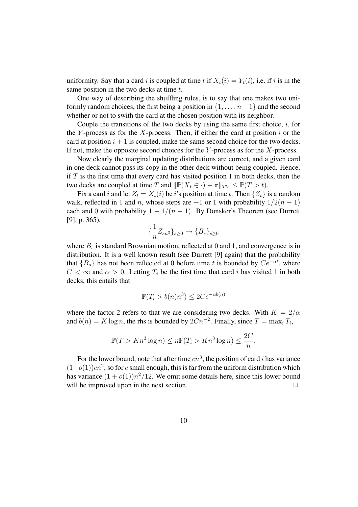uniformity. Say that a card i is coupled at time t if  $X_t(i) = Y_t(i)$ , i.e. if i is in the same position in the two decks at time  $t$ .

One way of describing the shuffling rules, is to say that one makes two uniformly random choices, the first being a position in  $\{1, \ldots, n-1\}$  and the second whether or not to swith the card at the chosen position with its neighbor.

Couple the transitions of the two decks by using the same first choice,  $i$ , for the Y-process as for the X-process. Then, if either the card at position  $i$  or the card at position  $i + 1$  is coupled, make the same second choice for the two decks. If not, make the opposite second choices for the  $Y$ -process as for the  $X$ -process.

Now clearly the marginal updating distributions are correct, and a given card in one deck cannot pass its copy in the other deck without being coupled. Hence, if  $T$  is the first time that every card has visited position 1 in both decks, then the two decks are coupled at time T and  $\|\mathbb{P}(X_t \in \cdot) - \pi\|_{TV} \leq \mathbb{P}(T > t)$ .

Fix a card i and let  $Z_t = X_t(i)$  be i's position at time t. Then  $\{Z_t\}$  is a random walk, reflected in 1 and n, whose steps are  $-1$  or 1 with probability  $1/2(n - 1)$ each and 0 with probability  $1 - 1/(n - 1)$ . By Donsker's Theorem (see Durrett [9], p. 365),

$$
\{\frac{1}{n}Z_{sn^3}\}_{s\geq 0} \to \{B_s\}_{s\geq 0}
$$

where  $B_s$  is standard Brownian motion, reflected at 0 and 1, and convergence is in distribution. It is a well known result (see Durrett [9] again) that the probability that  ${B_s}$  has not been reflected at 0 before time t is bounded by  $Ce^{-\alpha t}$ , where  $C < \infty$  and  $\alpha > 0$ . Letting  $T_i$  be the first time that card i has visited 1 in both decks, this entails that

$$
\mathbb{P}(T_i > b(n)n^3) \le 2Ce^{-\alpha b(n)}
$$

where the factor 2 refers to that we are considering two decks. With  $K = 2/\alpha$ and  $b(n) = K \log n$ , the rhs is bounded by  $2Cn^{-2}$ . Finally, since  $T = \max_i T_i$ ,

$$
\mathbb{P}(T > Kn^3 \log n) \le n \mathbb{P}(T_i > Kn^3 \log n) \le \frac{2C}{n}.
$$

For the lower bound, note that after time  $cn^3$ , the position of card i has variance  $(1+o(1))cn^2$ , so for c small enough, this is far from the uniform distribution which has variance  $(1+o(1))n^2/12$ . We omit some details here, since this lower bound will be improved upon in the next section.  $\Box$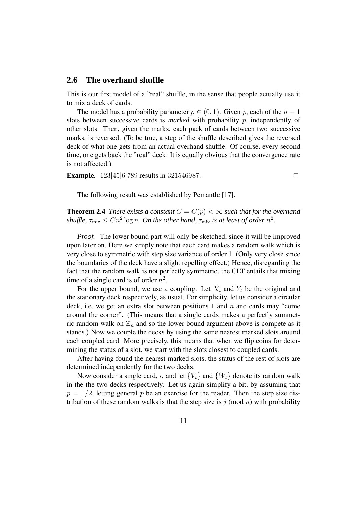### **2.6 The overhand shuffle**

This is our first model of a "real" shuffle, in the sense that people actually use it to mix a deck of cards.

The model has a probability parameter  $p \in (0, 1)$ . Given p, each of the  $n - 1$ slots between successive cards is *marked* with probability p, independently of other slots. Then, given the marks, each pack of cards between two successive marks, is reversed. (To be true, a step of the shuffle described gives the reversed deck of what one gets from an actual overhand shuffle. Of course, every second time, one gets back the "real" deck. It is equally obvious that the convergence rate is not affected.)

**Example.**  $123|45|6|789$  results in 321546987.

The following result was established by Pemantle [17].

**Theorem 2.4** *There exists a constant*  $C = C(p) < \infty$  *such that for the overhand* shuffle,  $\tau_{\text{mix}} \leq C n^2 \log n$ . On the other hand,  $\tau_{\text{mix}}$  is at least of order  $n^2$ .

*Proof.* The lower bound part will only be sketched, since it will be improved upon later on. Here we simply note that each card makes a random walk which is very close to symmetric with step size variance of order 1. (Only very close since the boundaries of the deck have a slight repelling effect.) Hence, disregarding the fact that the random walk is not perfectly symmetric, the CLT entails that mixing time of a single card is of order  $n^2$ .

For the upper bound, we use a coupling. Let  $X_t$  and  $Y_t$  be the original and the stationary deck respectively, as usual. For simplicity, let us consider a circular deck, i.e. we get an extra slot between positions 1 and  $n$  and cards may "come around the corner". (This means that a single cards makes a perfectly summetric random walk on  $\mathbb{Z}_n$  and so the lower bound argument above is compete as it stands.) Now we couple the decks by using the same nearest marked slots around each coupled card. More precisely, this means that when we flip coins for determining the status of a slot, we start with the slots closest to coupled cards.

After having found the nearest marked slots, the status of the rest of slots are determined independently for the two decks.

Now consider a single card, i, and let  ${V_t}$  and  ${W_t}$  denote its random walk in the the two decks respectively. Let us again simplify a bit, by assuming that  $p = 1/2$ , letting general p be an exercise for the reader. Then the step size distribution of these random walks is that the step size is  $j \pmod{n}$  with probability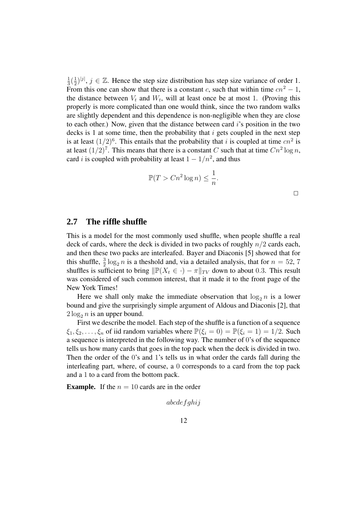1  $rac{1}{3}(\frac{1}{2})$  $(\frac{1}{2})^{|j|}, j \in \mathbb{Z}$ . Hence the step size distribution has step size variance of order 1. From this one can show that there is a constant c, such that within time  $cn^2 - 1$ , the distance between  $V_t$  and  $W_t$ , will at least once be at most 1. (Proving this properly is more complicated than one would think, since the two random walks are slightly dependent and this dependence is non-negligible when they are close to each other.) Now, given that the distance between card  $i$ 's position in the two decks is 1 at some time, then the probability that  $i$  gets coupled in the next step is at least  $(1/2)^6$ . This entails that the probability that i is coupled at time  $cn^2$  is at least  $(1/2)^7$ . This means that there is a constant C such that at time  $Cn^2 \log n$ , card *i* is coupled with probability at least  $1 - 1/n^2$ , and thus

$$
\mathbb{P}(T > Cn^2 \log n) \le \frac{1}{n}
$$

.

## **2.7 The riffle shuffle**

This is a model for the most commonly used shuffle, when people shuffle a real deck of cards, where the deck is divided in two packs of roughly  $n/2$  cards each, and then these two packs are interleafed. Bayer and Diaconis [5] showed that for this shuffle,  $\frac{3}{2} \log_2 n$  is a theshold and, via a detailed analysis, that for  $n = 52, 7$ shuffles is sufficient to bring  $\|\mathbb{P}(X_t \in \cdot) - \pi\|_{TV}$  down to about 0.3. This result was considered of such common interest, that it made it to the front page of the New York Times!

Here we shall only make the immediate observation that  $\log_2 n$  is a lower bound and give the surprisingly simple argument of Aldous and Diaconis [2], that  $2 \log_2 n$  is an upper bound.

First we describe the model. Each step of the shuffle is a function of a sequence  $\xi_1, \xi_2, \ldots, \xi_n$  of iid random variables where  $\mathbb{P}(\xi_i = 0) = \mathbb{P}(\xi_i = 1) = 1/2$ . Such a sequence is interpreted in the following way. The number of 0's of the sequence tells us how many cards that goes in the top pack when the deck is divided in two. Then the order of the 0's and 1's tells us in what order the cards fall during the interleafing part, where, of course, a 0 corresponds to a card from the top pack and a 1 to a card from the bottom pack.

**Example.** If the  $n = 10$  cards are in the order

$$
abcdefghi j
$$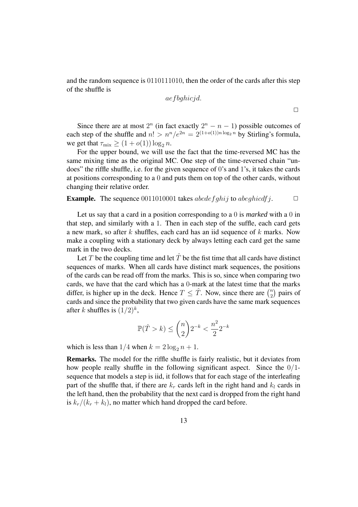and the random sequence is 0110111010, then the order of the cards after this step of the shuffle is

$$
a {{\it e}} f {b} g h i {c} j d.
$$

Since there are at most  $2^n$  (in fact exactly  $2^n - n - 1$ ) possible outcomes of each step of the shuffle and  $n! > n^n/e^{2n} = 2^{(1+o(1))n \log_2 n}$  by Stirling's formula, we get that  $\tau_{\text{mix}} \geq (1 + o(1)) \log_2 n$ .

For the upper bound, we will use the fact that the time-reversed MC has the same mixing time as the original MC. One step of the time-reversed chain "undoes" the riffle shuffle, i.e. for the given sequence of 0's and 1's, it takes the cards at positions corresponding to a 0 and puts them on top of the other cards, without changing their relative order.

#### **Example.** The sequence 0011010001 takes abcde f ghij to abeghicdf j.  $\Box$

Let us say that a card in a position corresponding to a 0 is *marked* with a 0 in that step, and similarly with a 1. Then in each step of the suffle, each card gets a new mark, so after k shuffles, each card has an iid sequence of k marks. Now make a coupling with a stationary deck by always letting each card get the same mark in the two decks.

Let T be the coupling time and let  $\hat{T}$  be the fist time that all cards have distinct sequences of marks. When all cards have distinct mark sequences, the positions of the cards can be read off from the marks. This is so, since when comparing two cards, we have that the card which has a 0-mark at the latest time that the marks differ, is higher up in the deck. Hence  $T \leq \hat{T}$ . Now, since there are  $\binom{n}{2}$  $\binom{n}{2}$  pairs of cards and since the probability that two given cards have the same mark sequences after k shuffles is  $(1/2)^k$ ,

$$
\mathbb{P}(\hat{T}>k)\leq \binom{n}{2}2^{-k}<\frac{n^2}{2}2^{-k}
$$

which is less than  $1/4$  when  $k = 2 \log_2 n + 1$ .

**Remarks.** The model for the riffle shuffle is fairly realistic, but it deviates from how people really shuffle in the following significant aspect. Since the 0/1 sequence that models a step is iid, it follows that for each stage of the interleafing part of the shuffle that, if there are  $k_r$  cards left in the right hand and  $k_l$  cards in the left hand, then the probability that the next card is dropped from the right hand is  $k_r/(k_r + k_l)$ , no matter which hand dropped the card before.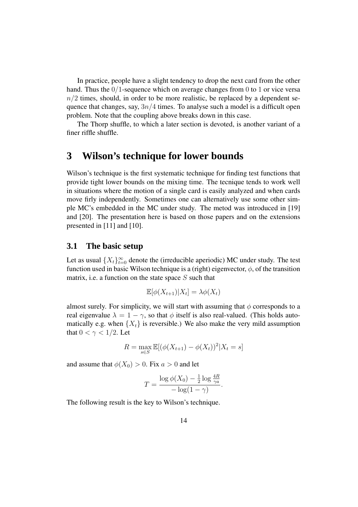In practice, people have a slight tendency to drop the next card from the other hand. Thus the  $0/1$ -sequence which on average changes from 0 to 1 or vice versa  $n/2$  times, should, in order to be more realistic, be replaced by a dependent sequence that changes, say,  $3n/4$  times. To analyse such a model is a difficult open problem. Note that the coupling above breaks down in this case.

The Thorp shuffle, to which a later section is devoted, is another variant of a finer riffle shuffle.

## **3 Wilson's technique for lower bounds**

Wilson's technique is the first systematic technique for finding test functions that provide tight lower bounds on the mixing time. The tecnique tends to work well in situations where the motion of a single card is easily analyzed and when cards move firly independently. Sometimes one can alternatively use some other simple MC's embedded in the MC under study. The metod was introduced in [19] and [20]. The presentation here is based on those papers and on the extensions presented in [11] and [10].

### **3.1 The basic setup**

Let as usual  $\{X_t\}_{t=0}^{\infty}$  denote the (irreducible aperiodic) MC under study. The test function used in basic Wilson technique is a (right) eigenvector,  $\phi$ , of the transition matrix, i.e. a function on the state space  $S$  such that

$$
\mathbb{E}[\phi(X_{t+1})|X_t] = \lambda \phi(X_t)
$$

almost surely. For simplicity, we will start with assuming that  $\phi$  corresponds to a real eigenvalue  $\lambda = 1 - \gamma$ , so that  $\phi$  itself is also real-valued. (This holds automatically e.g. when  $\{X_t\}$  is reversible.) We also make the very mild assumption that  $0 < \gamma < 1/2$ . Let

$$
R = \max_{s \in S} \mathbb{E}[(\phi(X_{t+1}) - \phi(X_t))^2 | X_t = s]
$$

and assume that  $\phi(X_0) > 0$ . Fix  $a > 0$  and let

$$
T = \frac{\log \phi(X_0) - \frac{1}{2} \log \frac{4R}{\gamma a}}{-\log(1-\gamma)}.
$$

The following result is the key to Wilson's technique.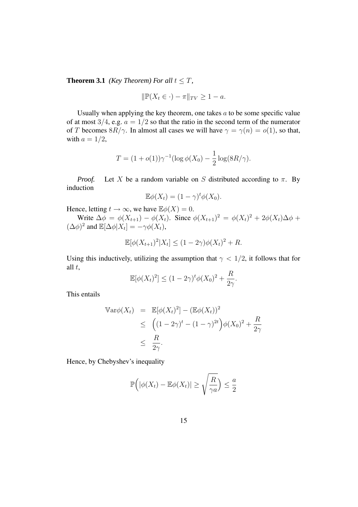**Theorem 3.1** *(Key Theorem) For all*  $t \leq T$ *,* 

$$
\|\mathbb{P}(X_t \in \cdot) - \pi\|_{TV} \ge 1 - a.
$$

Usually when applying the key theorem, one takes  $a$  to be some specific value of at most  $3/4$ , e.g.  $a = 1/2$  so that the ratio in the second term of the numerator of T becomes  $8R/\gamma$ . In almost all cases we will have  $\gamma = \gamma(n) = o(1)$ , so that, with  $a = 1/2$ ,

$$
T = (1 + o(1))\gamma^{-1}(\log \phi(X_0) - \frac{1}{2}\log(8R/\gamma)).
$$

*Proof.* Let X be a random variable on S distributed according to  $\pi$ . By induction

$$
\mathbb{E}\phi(X_t)=(1-\gamma)^t\phi(X_0).
$$

Hence, letting  $t \to \infty$ , we have  $\mathbb{E}\phi(X) = 0$ .

Write  $\Delta \phi = \phi(X_{t+1}) - \phi(X_t)$ . Since  $\phi(X_{t+1})^2 = \phi(X_t)^2 + 2\phi(X_t)\Delta \phi +$  $(\Delta \phi)^2$  and  $\mathbb{E}[\Delta \phi | X_t] = -\gamma \phi(X_t)$ ,

$$
\mathbb{E}[\phi(X_{t+1})^2 | X_t] \le (1 - 2\gamma)\phi(X_t)^2 + R.
$$

Using this inductively, utilizing the assumption that  $\gamma < 1/2$ , it follows that for all  $t$ ,

$$
\mathbb{E}[\phi(X_t)^2] \le (1 - 2\gamma)^t \phi(X_0)^2 + \frac{R}{2\gamma}.
$$

This entails

$$
\begin{aligned}\n\mathbb{V}\text{ar}\phi(X_t) &= \mathbb{E}[\phi(X_t)^2] - (\mathbb{E}\phi(X_t))^2 \\
&\leq \left( (1 - 2\gamma)^t - (1 - \gamma)^{2t} \right) \phi(X_0)^2 + \frac{R}{2\gamma} \\
&\leq \frac{R}{2\gamma}.\n\end{aligned}
$$

Hence, by Chebyshev's inequality

$$
\mathbb{P}\Big(|\phi(X_t) - \mathbb{E}\phi(X_t)| \ge \sqrt{\frac{R}{\gamma a}}\Big) \le \frac{a}{2}
$$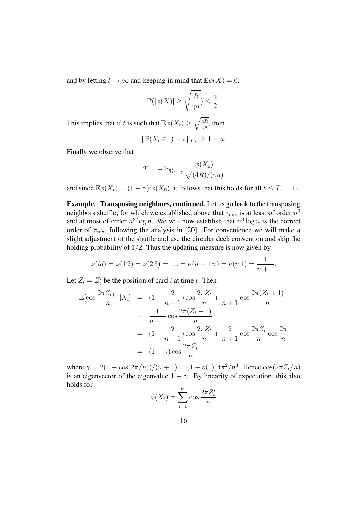and by letting  $t \to \infty$  and keeping in mind that  $\mathbb{E}\phi(X) = 0$ ,

$$
\mathbb{P}(|\phi(X)| \ge \sqrt{\frac{R}{\gamma a}}) \le \frac{a}{2}.
$$

This implies that if t is such that  $\mathbb{E}\phi(X_t) \geq \sqrt{\frac{4R}{\gamma a}}$ , then

$$
\|\mathbb{P}(X_t \in \cdot) - \pi\|_{TV} \ge 1 - a.
$$

Finally we observe that

$$
T = -\log_{1-\gamma} \frac{\phi(X_0)}{\sqrt{(4R)/(\gamma a)}}
$$

and since  $\mathbb{E}\phi(X_t) = (1 - \gamma)^t \phi(X_0)$ , it follows that this holds for all  $t \leq T$ .  $\Box$ 

**Example. Transposing neighbors, continued.** Let us go back to the transposing neighbors shuffle, for which we established above that  $\tau_{\text{mix}}$  is at least of order  $n^3$ and at most of order  $n^3 \log n$ . We will now establish that  $n^3 \log n$  is the correct order of  $\tau_{\text{mix}}$ , following the analysis in [20]. For convenience we will make a slight adjustment of the shuffle and use the circular deck convention and skip the holding probability of  $1/2$ . Thus the updating measure is now given by

$$
\nu(id) = \nu(1\,2) = \nu(2\,3) = \ldots = \nu(n-1\,n) = \nu(n\,1) = \frac{1}{n+1}.
$$

Let  $Z_t = Z_t^i$  be the position of card i at time t. Then

$$
\mathbb{E}[\cos\frac{2\pi Z_{t+1}}{n}|X_t] = (1 - \frac{2}{n+1})\cos\frac{2\pi Z_t}{n} + \frac{1}{n+1}\cos\frac{2\pi(Z_t+1)}{n} \n+ \frac{1}{n+1}\cos\frac{2\pi(Z_t-1)}{n} \n= (1 - \frac{2}{n+1})\cos\frac{2\pi Z_t}{n} + \frac{2}{n+1}\cos\frac{2\pi Z_t}{n}\cos\frac{2\pi}{n} \n= (1 - \gamma)\cos\frac{2\pi Z_t}{n}
$$

where  $\gamma = 2(1 - \cos(2\pi/n))/(n + 1) = (1 + o(1))4\pi^2/n^3$ . Hence  $\cos(2\pi Z_t/n)$ is an eigenvector of the eigenvalue  $1 - \gamma$ . By linearity of expectation, this also holds for

$$
\phi(X_t) = \sum_{i=1}^m \cos \frac{2\pi Z_t^i}{n}
$$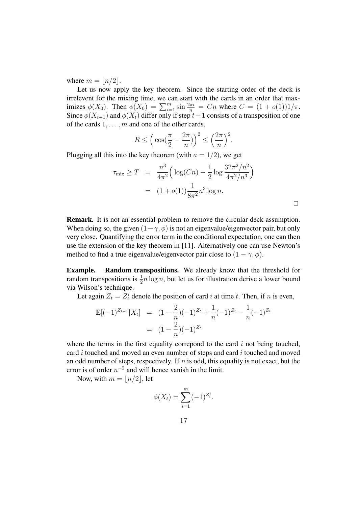where  $m = |n/2|$ .

Let us now apply the key theorem. Since the starting order of the deck is irrelevent for the mixing time, we can start with the cards in an order that maximizes  $\phi(X_0)$ . Then  $\phi(X_0) = \sum_{i=1}^m \sin \frac{2\pi i}{n} = Cn$  where  $C = (1 + o(1))1/\pi$ . Since  $\phi(X_{t+1})$  and  $\phi(X_t)$  differ only if step  $t+1$  consists of a transposition of one of the cards  $1, \ldots, m$  and one of the other cards,

$$
R \le \left(\cos\left(\frac{\pi}{2} - \frac{2\pi}{n}\right)\right)^2 \le \left(\frac{2\pi}{n}\right)^2.
$$

Plugging all this into the key theorem (with  $a = 1/2$ ), we get

$$
\tau_{\text{mix}} \ge T = \frac{n^3}{4\pi^2} \Big( \log(Cn) - \frac{1}{2} \log \frac{32\pi^2/n^2}{4\pi^2/n^3} \Big)
$$
  
=  $(1 + o(1)) \frac{1}{8\pi^2} n^3 \log n.$ 

 $\Box$ 

**Remark.** It is not an essential problem to remove the circular deck assumption. When doing so, the given  $(1-\gamma, \phi)$  is not an eigenvalue/eigenvector pair, but only very close. Quantifying the error term in the conditional expectation, one can then use the extension of the key theorem in [11]. Alternatively one can use Newton's method to find a true eigenvalue/eigenvector pair close to  $(1 - \gamma, \phi)$ .

**Example. Random transpositions.** We already know that the threshold for random transpositions is  $\frac{1}{2}n \log n$ , but let us for illustration derive a lower bound via Wilson's technique.

Let again  $Z_t = Z_t^i$  denote the position of card i at time t. Then, if n is even,

$$
\mathbb{E}[(-1)^{Z_{t+1}}|X_t] = (1 - \frac{2}{n})(-1)^{Z_t} + \frac{1}{n}(-1)^{Z_t} - \frac{1}{n}(-1)^{Z_t}
$$

$$
= (1 - \frac{2}{n})(-1)^{Z_t}
$$

where the terms in the first equality correpond to the card  $i$  not being touched, card  $i$  touched and moved an even number of steps and card  $i$  touched and moved an odd number of steps, respectively. If  $n$  is odd, this equality is not exact, but the error is of order  $n^{-2}$  and will hence vanish in the limit.

Now, with  $m = \lfloor n/2 \rfloor$ , let

$$
\phi(X_t) = \sum_{i=1}^m (-1)^{Z_t^i}.
$$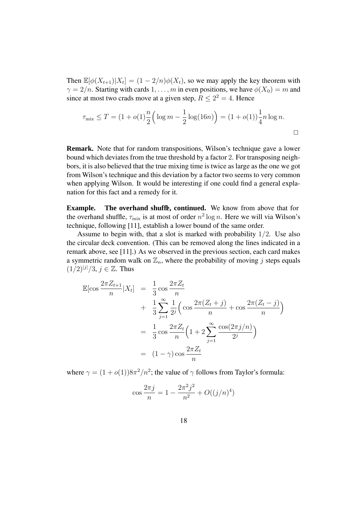Then  $\mathbb{E}[\phi(X_{t+1})|X_t] = (1 - 2/n)\phi(X_t)$ , so we may apply the key theorem with  $\gamma = 2/n$ . Starting with cards 1, ..., m in even positions, we have  $\phi(X_0) = m$  and since at most two crads move at a given step,  $R \leq 2^2 = 4$ . Hence

$$
\tau_{\text{mix}} \le T = (1 + o(1)) \frac{n}{2} \Big( \log m - \frac{1}{2} \log(16n) \Big) = (1 + o(1)) \frac{1}{4} n \log n.
$$

**Remark.** Note that for random transpositions, Wilson's technique gave a lower bound which deviates from the true threshold by a factor 2. For transposing neighbors, it is also believed that the true mixing time is twice as large as the one we got from Wilson's technique and this deviation by a factor two seems to very common when applying Wilson. It would be interesting if one could find a general explanation for this fact and a remedy for it.

**Example. The overhand shuffle, continued.** We know from above that for the overhand shuffle,  $\tau_{\text{mix}}$  is at most of order  $n^2 \log n$ . Here we will via Wilson's technique, following [11], establish a lower bound of the same order.

Assume to begin with, that a slot is marked with probability  $1/2$ . Use also the circular deck convention. (This can be removed along the lines indicated in a remark above, see [11].) As we observed in the previous section, each card makes a symmetric random walk on  $\mathbb{Z}_n$ , where the probability of moving j steps equals  $(1/2)^{|j|}/3, j \in \mathbb{Z}$ . Thus

$$
\mathbb{E}[\cos\frac{2\pi Z_{t+1}}{n}|X_t] = \frac{1}{3}\cos\frac{2\pi Z_t}{n}
$$
  
+ 
$$
\frac{1}{3}\sum_{j=1}^{\infty}\frac{1}{2^j}\left(\cos\frac{2\pi(Z_t+j)}{n} + \cos\frac{2\pi(Z_t-j)}{n}\right)
$$
  
= 
$$
\frac{1}{3}\cos\frac{2\pi Z_t}{n}\left(1+2\sum_{j=1}^{\infty}\frac{\cos(2\pi j/n)}{2^j}\right)
$$
  
= 
$$
(1-\gamma)\cos\frac{2\pi Z_t}{n}
$$

where  $\gamma = (1 + o(1))8\pi^2/n^2$ ; the value of  $\gamma$  follows from Taylor's formula:

$$
\cos \frac{2\pi j}{n} = 1 - \frac{2\pi^2 j^2}{n^2} + O((j/n)^4)
$$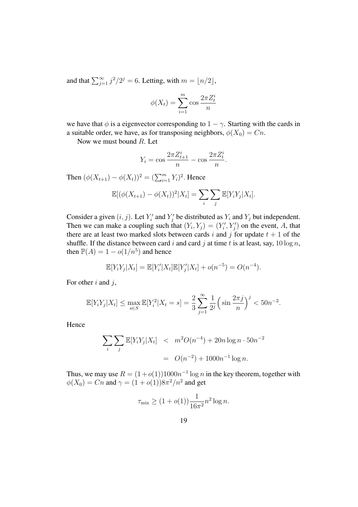and that  $\sum_{j=1}^{\infty} j^2/2^j = 6$ . Letting, with  $m = \lfloor n/2 \rfloor$ ,

$$
\phi(X_t) = \sum_{i=1}^{m} \cos \frac{2\pi Z_t^i}{n}
$$

we have that  $\phi$  is a eigenvector corresponding to  $1 - \gamma$ . Starting with the cards in a suitable order, we have, as for transposing neighbors,  $\phi(X_0) = Cn$ .

Now we must bound R. Let

$$
Y_i = \cos \frac{2\pi Z_{t+1}^i}{n} - \cos \frac{2\pi Z_t^i}{n}.
$$

Then  $(\phi(X_{t+1}) - \phi(X_t))^2 = (\sum_{i=1}^m Y_i)^2$ . Hence

$$
\mathbb{E}[(\phi(X_{t+1}) - \phi(X_t))^2 | X_t] = \sum_i \sum_j \mathbb{E}[Y_i Y_j | X_t].
$$

Consider a given  $(i, j)$ . Let  $Y'_i$  and  $Y'_j$  be distributed as  $Y_i$  and  $Y_j$  but independent. Then we can make a coupling such that  $(Y_i, Y_j) = (Y'_i, Y'_j)$  on the event, A, that there are at least two marked slots between cards i and j for update  $t + 1$  of the shuffle. If the distance between card i and card j at time t is at least, say,  $10 \log n$ , then  $\mathbb{P}(A) = 1 - o(1/n^5)$  and hence

$$
\mathbb{E}[Y_i Y_j | X_t] = \mathbb{E}[Y_i' | X_t] \mathbb{E}[Y_j' | X_t] + o(n^{-5}) = O(n^{-4}).
$$

For other  $i$  and  $j$ ,

$$
\mathbb{E}[Y_i Y_j | X_t] \le \max_{s \in S} \mathbb{E}[Y_i^2 | X_t = s] = \frac{2}{3} \sum_{j=1}^{\infty} \frac{1}{2^j} \left( \sin \frac{2\pi j}{n} \right)^j < 50n^{-2}.
$$

Hence

$$
\sum_{i} \sum_{j} \mathbb{E}[Y_i Y_j | X_t] < m^2 O(n^{-4}) + 20n \log n \cdot 50n^{-2}
$$
\n
$$
= O(n^{-2}) + 1000n^{-1} \log n.
$$

Thus, we may use  $R = (1 + o(1))1000n^{-1} \log n$  in the key theorem, together with  $\phi(X_0) = Cn$  and  $\gamma = (1 + o(1))8\pi^2/n^2$  and get

$$
\tau_{\text{mix}} \ge (1 + o(1)) \frac{1}{16\pi^2} n^2 \log n.
$$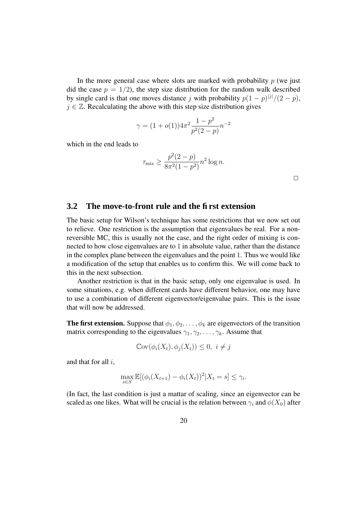In the more general case where slots are marked with probability  $p$  (we just did the case  $p = 1/2$ , the step size distribution for the random walk described by single card is that one moves distance j with probability  $p(1-p)^{|j|}/(2-p)$ ,  $j \in \mathbb{Z}$ . Recalculating the above with this step size distribution gives

$$
\gamma = (1 + o(1))4\pi^2 \frac{1 - p^2}{p^2(2 - p)} n^{-2}
$$

which in the end leads to

$$
\tau_{\max} \ge \frac{p^2(2-p)}{8\pi^2(1-p^2)} n^2 \log n.
$$

 $\Box$ 

### **3.2 The move-to-front rule and the first extension**

The basic setup for Wilson's technique has some restrictions that we now set out to relieve. One restriction is the assumption that eigenvalues be real. For a nonreversible MC, this is usually not the case, and the right order of mixing is connected to how close eigenvalues are to 1 in absolute value, rather than the distance in the complex plane between the eigenvalues and the point 1. Thus we would like a modification of the setup that enables us to confirm this. We will come back to this in the next subsection.

Another restriction is that in the basic setup, only one eigenvalue is used. In some situations, e.g. when different cards have different behavior, one may have to use a combination of different eigenvector/eigenvalue pairs. This is the issue that will now be addressed.

**The first extension.** Suppose that  $\phi_1, \phi_2, \ldots, \phi_k$  are eigenvectors of the transition matrix corresponding to the eigenvalues  $\gamma_1, \gamma_2, \ldots, \gamma_k$ . Assume that

$$
\mathbb{C}\mathrm{ov}(\phi_i(X_t), \phi_j(X_t)) \leq 0, \ i \neq j
$$

and that for all  $i$ ,

$$
\max_{s \in S} \mathbb{E}[(\phi_i(X_{t+1}) - \phi_i(X_t))^2 | X_t = s] \le \gamma_i.
$$

(In fact, the last condition is just a mattar of scaling, since an eigenvector can be scaled as one likes. What will be crucial is the relation between  $\gamma_i$  and  $\phi(X_0)$  after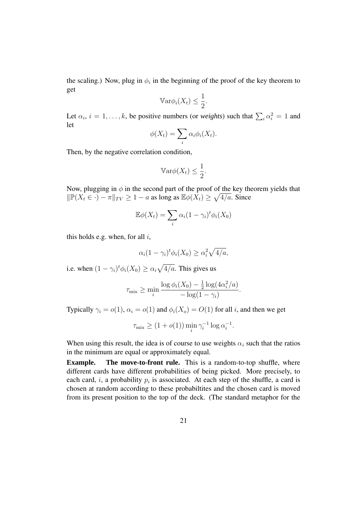the scaling.) Now, plug in  $\phi_i$  in the beginning of the proof of the key theorem to get

$$
\mathbb{V}\mathrm{ar}\phi_i(X_t) \le \frac{1}{2}.
$$

Let  $\alpha_i$ ,  $i = 1, ..., k$ , be positive numbers (or *weights*) such that  $\sum_i \alpha_i^2 = 1$  and let

$$
\phi(X_t) = \sum_i \alpha_i \phi_i(X_t).
$$

Then, by the negative correlation condition,

$$
\mathbb{V}\mathrm{ar}\phi(X_t) \le \frac{1}{2}.
$$

Now, plugging in  $\phi$  in the second part of the proof of the key theorem yields that  $\|\mathbb{P}(X_t \in \cdot) - \pi\|_{TV} \ge 1 - a$  as long as  $\mathbb{E}\phi(X_t) \ge \sqrt{4/a}$ . Since

$$
\mathbb{E}\phi(X_t) = \sum_i \alpha_i (1 - \gamma_i)^t \phi_i(X_0)
$$

this holds e.g. when, for all  $i$ ,

$$
\alpha_i(1-\gamma_i)^t\phi_i(X_0) \ge \alpha_i^2\sqrt{4/a},
$$

i.e. when  $(1 - \gamma_i)^t \phi_i(X_0) \ge \alpha_i \sqrt{4/a}$ . This gives us

$$
\tau_{\text{mix}} \ge \min_{i} \frac{\log \phi_i(X_0) - \frac{1}{2} \log(4\alpha_i^2/a)}{-\log(1-\gamma_i)}.
$$

Typically  $\gamma_i = o(1)$ ,  $\alpha_i = o(1)$  and  $\phi_i(X_o) = O(1)$  for all i, and then we get

$$
\tau_{\max} \ge (1 + o(1)) \min_i \gamma_i^{-1} \log \alpha_i^{-1}.
$$

When using this result, the idea is of course to use weights  $\alpha_i$  such that the ratios in the minimum are equal or approximately equal.

**Example.** The move-to-front rule. This is a random-to-top shuffle, where different cards have different probabilities of being picked. More precisely, to each card, i, a probability  $p_i$  is associated. At each step of the shuffle, a card is chosen at random according to these probabiltites and the chosen card is moved from its present position to the top of the deck. (The standard metaphor for the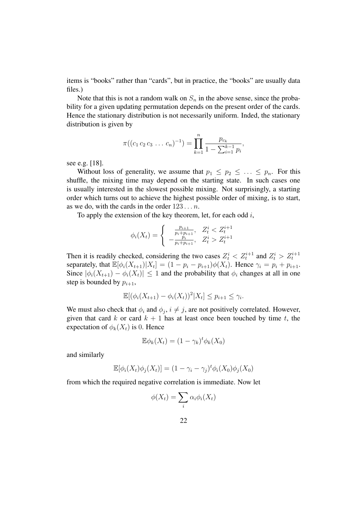items is "books" rather than "cards", but in practice, the "books" are usually data files.)

Note that this is not a random walk on  $S_n$  in the above sense, since the probability for a given updating permutation depends on the present order of the cards. Hence the stationary distribution is not necessarily uniform. Inded, the stationary distribution is given by

$$
\pi((c_1 c_2 c_3 \ldots c_n)^{-1}) = \prod_{k=1}^n \frac{p_{c_k}}{1 - \sum_{i=1}^{k-1} p_i},
$$

see e.g. [18].

Without loss of generality, we assume that  $p_1 \leq p_2 \leq \ldots \leq p_n$ . For this shuffle, the mixing time may depend on the starting state. In such cases one is usually interested in the slowest possible mixing. Not surprisingly, a starting order which turns out to achieve the highest possible order of mixing, is to start, as we do, with the cards in the order  $123 \dots n$ .

To apply the extension of the key theorem, let, for each odd  $i$ ,

$$
\phi_i(X_t) = \begin{cases}\n\frac{p_{i+1}}{p_i + p_{i+1}}, & Z_t^i < Z_t^{i+1} \\
-\frac{p_i}{p_i + p_{i+1}}, & Z_t^i > Z_t^{i+1}\n\end{cases}
$$

Then it is readily checked, considering the two cases  $Z_t^i < Z_t^{i+1}$  and  $Z_t^i > Z_t^{i+1}$ separately, that  $\mathbb{E}[\phi_i(X_{t+1})|X_i] = (1 - p_i - p_{i+1})\phi(X_t)$ . Hence  $\gamma_i = p_i + p_{i+1}$ . Since  $|\phi_i(X_{t+1}) - \phi_i(X_t)| \leq 1$  and the probability that  $\phi_i$  changes at all in one step is bounded by  $p_{i+1}$ ,

$$
\mathbb{E}[(\phi_i(X_{t+1}) - \phi_i(X_t))^2 | X_t] \le p_{i+1} \le \gamma_i.
$$

We must also check that  $\phi_i$  and  $\phi_j$ ,  $i \neq j$ , are not positively correlated. However, given that card k or card  $k + 1$  has at least once been touched by time t, the expectation of  $\phi_k(X_t)$  is 0. Hence

$$
\mathbb{E}\phi_k(X_t) = (1 - \gamma_k)^t \phi_k(X_0)
$$

and similarly

$$
\mathbb{E}[\phi_i(X_t)\phi_j(X_t)] = (1 - \gamma_i - \gamma_j)^t \phi_i(X_0)\phi_j(X_0)
$$

from which the required negative correlation is immediate. Now let

$$
\phi(X_t) = \sum_i \alpha_i \phi_i(X_t)
$$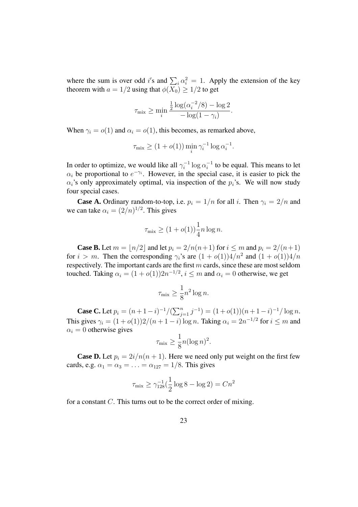where the sum is over odd i's and  $\sum_i \alpha_i^2 = 1$ . Apply the extension of the key theorem with  $a = 1/2$  using that  $\phi(\overline{X_0}) \geq 1/2$  to get

$$
\tau_{\text{mix}} \ge \min_i \frac{\frac{1}{2}\log(\alpha_i^{-2}/8) - \log 2}{-\log(1-\gamma_i)}.
$$

When  $\gamma_i = o(1)$  and  $\alpha_i = o(1)$ , this becomes, as remarked above,

$$
\tau_{\text{mix}} \ge (1 + o(1)) \min_{i} \gamma_i^{-1} \log \alpha_i^{-1}.
$$

In order to optimize, we would like all  $\gamma_i^{-1}$  $i^{-1} \log \alpha_i^{-1}$  $i<sup>-1</sup>$  to be equal. This means to let  $\alpha_i$  be proportional to  $e^{-\gamma_i}$ . However, in the special case, it is easier to pick the  $\alpha_i$ 's only approximately optimal, via inspection of the  $p_i$ 's. We will now study four special cases.

**Case A.** Ordinary random-to-top, i.e.  $p_i = 1/n$  for all i. Then  $\gamma_i = 2/n$  and we can take  $\alpha_i = (2/n)^{1/2}$ . This gives

$$
\tau_{\text{mix}} \ge (1 + o(1)) \frac{1}{4} n \log n.
$$

**Case B.** Let  $m = |n/2|$  and let  $p_i = 2/n(n+1)$  for  $i \le m$  and  $p_i = 2/(n+1)$ for  $i > m$ . Then the corresponding  $\gamma_i$ 's are  $(1 + o(1))\frac{4}{n^2}$  and  $(1 + o(1))\frac{4}{n}$ respectively. The important cards are the first  $m$  cards, since these are most seldom touched. Taking  $\alpha_i = (1 + o(1))2n^{-1/2}$ ,  $i \leq m$  and  $\alpha_i = 0$  otherwise, we get

$$
\tau_{\text{mix}} \ge \frac{1}{8} n^2 \log n.
$$

**Case C.** Let  $p_i = (n+1-i)^{-1}/(\sum_{j=1}^n j^{-1}) = (1+o(1))(n+1-i)^{-1}/\log n$ . This gives  $\gamma_i = (1 + o(1))2/(n + 1 - i) \log n$ . Taking  $\alpha_i = 2n^{-1/2}$  for  $i \leq m$  and  $\alpha_i = 0$  otherwise gives

$$
\tau_{\text{mix}} \ge \frac{1}{8} n (\log n)^2.
$$

**Case D.** Let  $p_i = 2i/n(n + 1)$ . Here we need only put weight on the first few cards, e.g.  $\alpha_1 = \alpha_3 = \ldots = \alpha_{127} = 1/8$ . This gives

$$
\tau_{\text{mix}} \ge \gamma_{128}^{-1}(\frac{1}{2}\log 8 - \log 2) = Cn^2
$$

for a constant C. This turns out to be the correct order of mixing.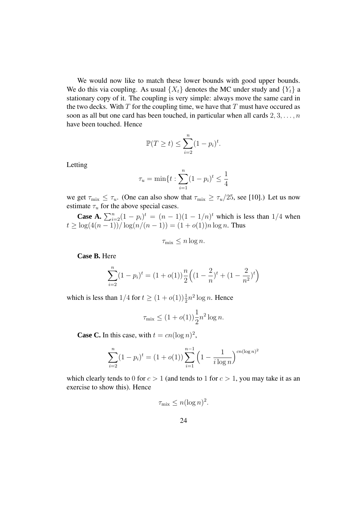We would now like to match these lower bounds with good upper bounds. We do this via coupling. As usual  $\{X_t\}$  denotes the MC under study and  $\{Y_t\}$  a stationary copy of it. The coupling is very simple: always move the same card in the two decks. With  $T$  for the coupling time, we have that  $T$  must have occured as soon as all but one card has been touched, in particular when all cards  $2, 3, \ldots, n$ have been touched. Hence

$$
\mathbb{P}(T \ge t) \le \sum_{i=2}^{n} (1 - p_i)^t.
$$

Letting

$$
\tau_u = \min\{t : \sum_{i=1}^n (1 - p_i)^t \le \frac{1}{4}\}
$$

we get  $\tau_{\text{mix}} \leq \tau_u$ . (One can also show that  $\tau_{\text{mix}} \geq \tau_u/25$ , see [10].) Let us now estimate  $\tau_u$  for the above special cases.

**Case A.**  $\sum_{i=2}^{n} (1-p_i)^t = (n-1)(1-1/n)^t$  which is less than 1/4 when  $t \geq \log(4(n-1))/\log(n/(n-1)) = (1+o(1))n\log n$ . Thus

$$
\tau_{\text{mix}} \le n \log n.
$$

**Case B.** Here

$$
\sum_{i=2}^{n} (1 - p_i)^t = (1 + o(1)) \frac{n}{2} \left( (1 - \frac{2}{n})^t + (1 - \frac{2}{n^2})^t \right)
$$

which is less than  $1/4$  for  $t \ge (1 + o(1))\frac{1}{2}n^2 \log n$ . Hence

$$
\tau_{\text{mix}} \le (1 + o(1)) \frac{1}{2} n^2 \log n.
$$

**Case C.** In this case, with  $t = cn(\log n)^2$ ,

$$
\sum_{i=2}^{n} (1 - p_i)^t = (1 + o(1)) \sum_{i=1}^{n-1} \left( 1 - \frac{1}{i \log n} \right)^{cn(\log n)^2}
$$

which clearly tends to 0 for  $c > 1$  (and tends to 1 for  $c > 1$ , you may take it as an exercise to show this). Hence

$$
\tau_{\text{mix}} \le n(\log n)^2.
$$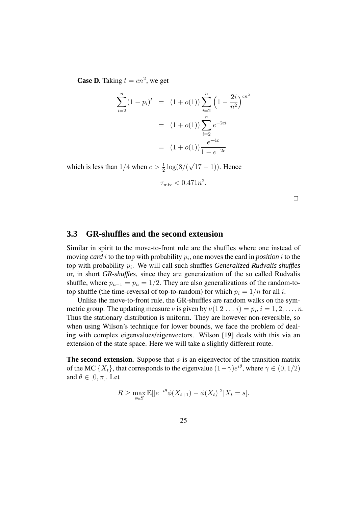**Case D.** Taking  $t = cn^2$ , we get

$$
\sum_{i=2}^{n} (1 - p_i)^t = (1 + o(1)) \sum_{i=2}^{n} \left( 1 - \frac{2i}{n^2} \right)^{cn^2}
$$

$$
= (1 + o(1)) \sum_{i=2}^{n} e^{-2ci}
$$

$$
= (1 + o(1)) \frac{e^{-4c}}{1 - e^{-2c}}
$$

which is less than  $1/4$  when  $c > \frac{1}{2}$  $\frac{1}{2} \log(8/(\sqrt{17}-1))$ . Hence

$$
\tau_{\text{mix}} < 0.471n^2.
$$

 $\Box$ 

## **3.3 GR-shuffles and the second extension**

Similar in spirit to the move-to-front rule are the shuffles where one instead of moving *card*  $i$  to the top with probability  $p_i$ , one moves the card in *position*  $i$  to the top with probability  $p_i$ . We will call such shuffles *Generalized Rudvalis shuffles* or, in short *GR-shuffles*, since they are generaization of the so called Rudvalis shuffle, where  $p_{n-1} = p_n = 1/2$ . They are also generalizations of the random-totop shuffle (the time-reversal of top-to-random) for which  $p_i = 1/n$  for all i.

Unlike the move-to-front rule, the GR-shuffles are random walks on the symmetric group. The updating measure  $\nu$  is given by  $\nu(1\,2\ldots i) = p_i, i = 1, 2, \ldots, n$ . Thus the stationary distribution is uniform. They are however non-reversible, so when using Wilson's technique for lower bounds, we face the problem of dealing with complex eigenvalues/eigenvectors. Wilson [19] deals with this via an extension of the state space. Here we will take a slightly different route.

**The second extension.** Suppose that  $\phi$  is an eigenvector of the transition matrix of the MC  $\{X_t\}$ , that corresponds to the eigenvalue  $(1 - \gamma)e^{i\theta}$ , where  $\gamma \in (0, 1/2)$ and  $\theta \in [0, \pi]$ . Let

$$
R \ge \max_{s \in S} \mathbb{E}[|e^{-i\theta}\phi(X_{t+1}) - \phi(X_t)|^2 | X_t = s].
$$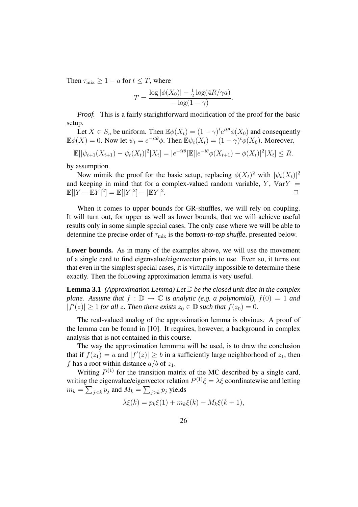Then  $\tau_{\text{mix}} \geq 1 - a$  for  $t \leq T$ , where

$$
T = \frac{\log |\phi(X_0)| - \frac{1}{2} \log(4R/\gamma a)}{-\log(1-\gamma)}.
$$

*Proof.* This is a fairly starightforward modification of the proof for the basic setup.

Let  $X \in S_n$  be uniform. Then  $\mathbb{E}\phi(X_t) = (1-\gamma)^t e^{it\theta} \phi(X_0)$  and consequently  $\mathbb{E}\phi(X) = 0$ . Now let  $\psi_t = e^{-it\theta}\phi$ . Then  $\mathbb{E}\psi_t(X_t) = (1 - \gamma)^t \phi(X_0)$ . Moreover,

$$
\mathbb{E}[|\psi_{t+1}(X_{t+1}) - \psi_t(X_t)|^2 | X_t] = |e^{-it\theta}|\mathbb{E}[|e^{-i\theta}\phi(X_{t+1}) - \phi(X_t)|^2 | X_t] \leq R.
$$

by assumption.

Now mimik the proof for the basic setup, replacing  $\phi(X_t)^2$  with  $|\psi_t(X_t)|^2$ and keeping in mind that for a complex-valued random variable,  $Y$ ,  $VarY =$  $\mathbb{E}[|Y - \mathbb{E}Y|^2] = \mathbb{E}[|Y|^2] - |\mathbb{E}Y|^2$  $\Box$ 

When it comes to upper bounds for GR-shuffles, we will rely on coupling. It will turn out, for upper as well as lower bounds, that we will achieve useful results only in some simple special cases. The only case where we will be able to determine the precise order of  $\tau_{mix}$  is the *bottom-to-top shuffle*, presented below.

**Lower bounds.** As in many of the examples above, we will use the movement of a single card to find eigenvalue/eigenvector pairs to use. Even so, it turns out that even in the simplest special cases, it is virtually impossible to determine these exactly. Then the following approximation lemma is very useful.

**Lemma** 3.1 *(Approximation Lemma) Let*  $\mathbb{D}$  *be the closed unit disc in the complex plane.* Assume that  $f : \mathbb{D} \to \mathbb{C}$  *is analytic (e.g. a polynomial),*  $f(0) = 1$  *and*  $|f'(z)| \geq 1$  *for all z. Then there exists*  $z_0 \in \mathbb{D}$  *such that*  $f(z_0) = 0$ *.* 

The real-valued analog of the approximation lemma is obvious. A proof of the lemma can be found in [10]. It requires, however, a background in complex analysis that is not contained in this course.

The way the approximation lemmma will be used, is to draw the conclusion that if  $f(z_1) = a$  and  $|f'(z)| \ge b$  in a sufficiently large neighborhood of  $z_1$ , then f has a root within distance  $a/b$  of  $z_1$ .

Writing  $P^{(1)}$  for the transition matrix of the MC described by a single card, writing the eigenvalue/eigenvector relation  $P^{(1)}\xi = \lambda \xi$  coordinatewise and letting  $m_k = \sum_{j < k} p_j$  and  $M_k = \sum_{j > k} p_j$  yields

$$
\lambda \xi(k) = p_k \xi(1) + m_k \xi(k) + M_k \xi(k+1),
$$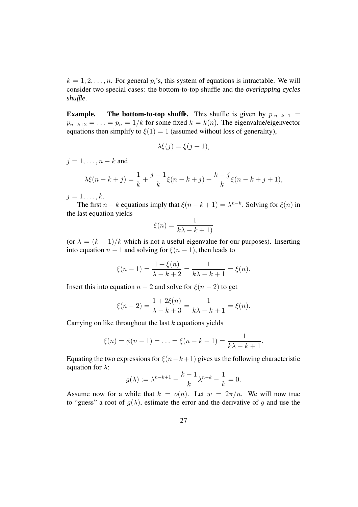$k = 1, 2, \ldots, n$ . For general  $p_i$ 's, this system of equations is intractable. We will consider two special cases: the bottom-to-top shuffle and the *overlapping cycles shuffle*.

**Example.** The **bottom-to-top shuffle.** This shuffle is given by  $p_{n-k+1}$  =  $p_{n-k+2} = \ldots = p_n = 1/k$  for some fixed  $k = k(n)$ . The eigenvalue/eigenvector equations then simplify to  $\xi(1) = 1$  (assumed without loss of generality),

$$
\lambda \xi(j) = \xi(j+1),
$$

 $j = 1, \ldots, n - k$  and

$$
\lambda \xi(n - k + j) = \frac{1}{k} + \frac{j - 1}{k} \xi(n - k + j) + \frac{k - j}{k} \xi(n - k + j + 1),
$$

 $j=1,\ldots,k.$ 

The first  $n - k$  equations imply that  $\xi(n - k + 1) = \lambda^{n-k}$ . Solving for  $\xi(n)$  in the last equation yields

$$
\xi(n) = \frac{1}{k\lambda - k + 1}
$$

(or  $\lambda = (k-1)/k$  which is not a useful eigenvalue for our purposes). Inserting into equation  $n - 1$  and solving for  $\xi(n - 1)$ , then leads to

$$
\xi(n-1) = \frac{1+\xi(n)}{\lambda - k + 2} = \frac{1}{k\lambda - k + 1} = \xi(n).
$$

Insert this into equation  $n - 2$  and solve for  $\xi(n - 2)$  to get

$$
\xi(n-2) = \frac{1+2\xi(n)}{\lambda - k + 3} = \frac{1}{k\lambda - k + 1} = \xi(n).
$$

Carrying on like throughout the last  $k$  equations yields

$$
\xi(n) = \phi(n-1) = \ldots = \xi(n-k+1) = \frac{1}{k\lambda - k + 1}.
$$

Equating the two expressions for  $\xi(n-k+1)$  gives us the following characteristic equation for  $\lambda$ :

$$
g(\lambda) := \lambda^{n-k+1} - \frac{k-1}{k} \lambda^{n-k} - \frac{1}{k} = 0.
$$

Assume now for a while that  $k = o(n)$ . Let  $w = 2\pi/n$ . We will now true to "guess" a root of  $g(\lambda)$ , estimate the error and the derivative of g and use the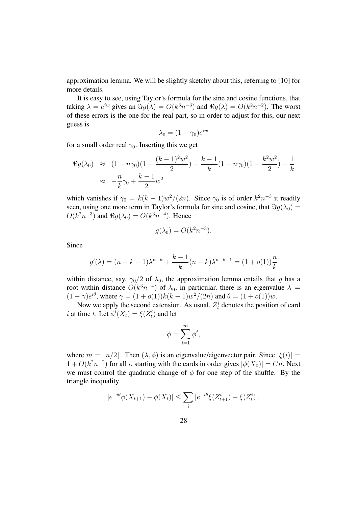approximation lemma. We will be slightly sketchy about this, referring to [10] for more details.

It is easy to see, using Taylor's formula for the sine and cosine functions, that taking  $\lambda = e^{iw}$  gives an  $\Im g(\lambda) = O(k^3 n^{-3})$  and  $\Re g(\lambda) = O(k^2 n^{-2})$ . The worst of these errors is the one for the real part, so in order to adjust for this, our next guess is

$$
\lambda_0 = (1 - \gamma_0)e^{iw}
$$

for a small order real  $\gamma_0$ . Inserting this we get

$$
\Re g(\lambda_0) \approx (1 - n\gamma_0)(1 - \frac{(k-1)^2 w^2}{2}) - \frac{k-1}{k}(1 - n\gamma_0)(1 - \frac{k^2 w^2}{2}) - \frac{1}{k}
$$
  
 
$$
\approx -\frac{n}{k}\gamma_0 + \frac{k-1}{2}w^2
$$

which vanishes if  $\gamma_0 = k(k-1)w^2/(2n)$ . Since  $\gamma_0$  is of order  $k^2n^{-3}$  it readily seen, using one more term in Taylor's formula for sine and cosine, that  $\Im q(\lambda_0) =$  $O(k^2n^{-3})$  and  $\Re g(\lambda_0) = O(k^3n^{-4})$ . Hence

$$
g(\lambda_0) = O(k^2 n^{-3}).
$$

Since

$$
g'(\lambda) = (n - k + 1)\lambda^{n-k} + \frac{k-1}{k}(n - k)\lambda^{n-k-1} = (1 + o(1))\frac{n}{k}
$$

within distance, say,  $\gamma_0/2$  of  $\lambda_0$ , the approximation lemma entails that g has a root within distance  $O(k^3n^{-4})$  of  $\lambda_0$ , in particular, there is an eigenvalue  $\lambda =$  $(1 - \gamma)e^{i\theta}$ , where  $\gamma = (1 + o(1))k(k - 1)w^2/(2n)$  and  $\theta = (1 + o(1))w$ .

Now we apply the second extension. As usual,  $Z_t^i$  denotes the position of card *i* at time *t*. Let  $\phi^{i}(X_t) = \xi(Z_t^i)$  and let

$$
\phi = \sum_{i=1}^{m} \phi^i,
$$

where  $m = |n/2|$ . Then  $(\lambda, \phi)$  is an eigenvalue/eigenvector pair. Since  $|\xi(i)| =$  $1 + O(k^2n^{-2})$  for all *i*, starting with the cards in order gives  $|\phi(X_0)| = Cn$ . Next we must control the quadratic change of  $\phi$  for one step of the shuffle. By the triangle inequality

$$
|e^{-i\theta}\phi(X_{t+1}) - \phi(X_t)| \leq \sum_i |e^{-i\theta}\xi(Z_{t+1}^i) - \xi(Z_t^i)|.
$$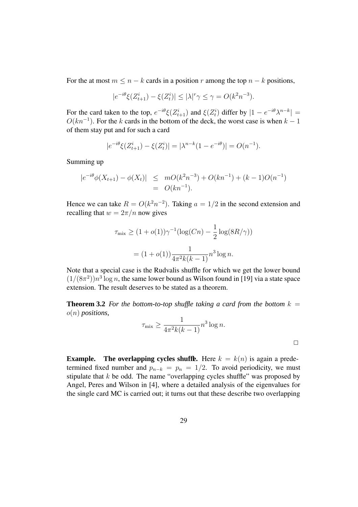For the at most  $m \leq n - k$  cards in a position r among the top  $n - k$  positions,

$$
|e^{-i\theta}\xi(Z_{t+1}^i) - \xi(Z_t^i)| \le |\lambda|^r \gamma \le \gamma = O(k^2 n^{-3}).
$$

For the card taken to the top,  $e^{-i\theta}\xi(Z_{t+1}^i)$  and  $\xi(Z_t^i)$  differ by  $|1 - e^{-i\theta}\lambda^{n-k}| =$  $O(kn^{-1})$ . For the k cards in the bottom of the deck, the worst case is when  $k - 1$ of them stay put and for such a card

$$
|e^{-i\theta}\xi(Z_{t+1}^i) - \xi(Z_t^i)| = |\lambda^{n-k}(1 - e^{-i\theta})| = O(n^{-1}).
$$

Summing up

$$
|e^{-i\theta}\phi(X_{t+1}) - \phi(X_t)| \leq mO(k^2n^{-3}) + O(kn^{-1}) + (k-1)O(n^{-1})
$$
  
=  $O(kn^{-1}).$ 

Hence we can take  $R = O(k^2n^{-2})$ . Taking  $a = 1/2$  in the second extension and recalling that  $w = 2\pi/n$  now gives

$$
\tau_{\text{mix}} \ge (1 + o(1))\gamma^{-1}(\log(Cn) - \frac{1}{2}\log(8R/\gamma))
$$

$$
= (1 + o(1))\frac{1}{4\pi^2k(k-1)}n^3\log n.
$$

Note that a special case is the Rudvalis shuffle for which we get the lower bound  $(1/(8\pi^2))n^3\log n$ , the same lower bound as Wilson found in [19] via a state space extension. The result deserves to be stated as a theorem.

**Theorem 3.2** For the bottom-to-top shuffle taking a card from the bottom  $k =$ o(n) *positions,*

$$
\tau_{\max} \ge \frac{1}{4\pi^2 k(k-1)} n^3 \log n.
$$

 $\Box$ 

**Example.** The **overlapping cycles shuffle.** Here  $k = k(n)$  is again a predetermined fixed number and  $p_{n-k} = p_n = 1/2$ . To avoid periodicity, we must stipulate that  $k$  be odd. The name "overlapping cycles shuffle" was proposed by Angel, Peres and Wilson in [4], where a detailed analysis of the eigenvalues for the single card MC is carried out; it turns out that these describe two overlapping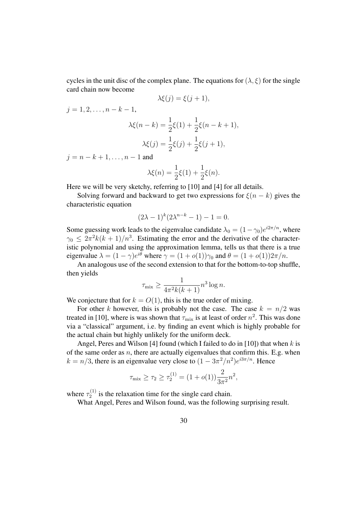cycles in the unit disc of the complex plane. The equations for  $(\lambda, \xi)$  for the single card chain now become

$$
\lambda \xi(j) = \xi(j+1),
$$

 $j = 1, 2, \ldots, n - k - 1$ ,

$$
\lambda \xi(n-k) = \frac{1}{2}\xi(1) + \frac{1}{2}\xi(n-k+1),
$$
  

$$
\lambda \xi(j) = \frac{1}{2}\xi(j) + \frac{1}{2}\xi(j+1),
$$

 $j = n - k + 1, \ldots, n - 1$  and

$$
\lambda \xi(n) = \frac{1}{2}\xi(1) + \frac{1}{2}\xi(n).
$$

Here we will be very sketchy, referring to [10] and [4] for all details.

Solving forward and backward to get two expressions for  $\xi(n - k)$  gives the characteristic equation

$$
(2\lambda - 1)^k (2\lambda^{n-k} - 1) - 1 = 0.
$$

Some guessing work leads to the eigenvalue candidate  $\lambda_0 = (1 - \gamma_0)e^{i2\pi/n}$ , where  $\gamma_0 \leq 2\pi^2 k(k+1)/n^3$ . Estimating the error and the derivative of the characteristic polynomial and using the approximation lemma, tells us that there is a true eigenvalue  $\lambda = (1 - \gamma)e^{i\theta}$  where  $\gamma = (1 + o(1))\gamma_0$  and  $\theta = (1 + o(1))2\pi/n$ .

An analogous use of the second extension to that for the bottom-to-top shuffle, then yields

$$
\tau_{\max} \ge \frac{1}{4\pi^2 k(k+1)} n^3 \log n.
$$

We conjecture that for  $k = O(1)$ , this is the true order of mixing.

For other k however, this is probably not the case. The case  $k = n/2$  was treated in [10], where is was shown that  $\tau_{mix}$  is at least of order  $n^2$ . This was done via a "classical" argument, i.e. by finding an event which is highly probable for the actual chain but highly unlikely for the uniform deck.

Angel, Peres and Wilson [4] found (which I failed to do in [10]) that when  $k$  is of the same order as  $n$ , there are actually eigenvalues that confirm this. E.g. when  $k = n/3$ , there is an eigenvalue very close to  $(1 - 3\pi^2/n^2)e^{i3\pi/n}$ . Hence

$$
\tau_{\text{mix}} \ge \tau_2 \ge \tau_2^{(1)} = (1 + o(1)) \frac{2}{3\pi^2} n^2,
$$

where  $\tau_2^{(1)}$  $\frac{1}{2}$  is the relaxation time for the single card chain.

What Angel, Peres and Wilson found, was the following surprising result.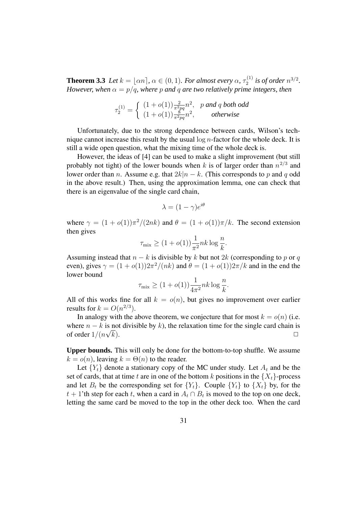**Theorem 3.3** *Let*  $k = \lfloor \alpha n \rfloor$ ,  $\alpha \in (0, 1)$ *. For almost every*  $\alpha$ ,  $\tau_2^{(1)}$  $i_2^{(1)}$  *is of order*  $n^{3/2}$ *. However, when*  $\alpha = p/q$ *, where* p and q are *two* relatively prime *integers, then* 

$$
\tau_2^{(1)} = \begin{cases} (1+o(1))\frac{2}{\pi^2 pq}n^2, & p \text{ and } q \text{ both odd} \\ (1+o(1))\frac{8}{\pi^2 pq}n^2, & otherwise \end{cases}
$$

Unfortunately, due to the strong dependence between cards, Wilson's technique cannot increase this result by the usual  $\log n$ -factor for the whole deck. It is still a wide open question, what the mixing time of the whole deck is.

However, the ideas of [4] can be used to make a slight improvement (but still probably not tight) of the lower bounds when k is of larger order than  $n^{2/3}$  and lower order than *n*. Assume e.g. that  $2k|n - k$ . (This corresponds to p and q odd in the above result.) Then, using the approximation lemma, one can check that there is an eigenvalue of the single card chain,

$$
\lambda = (1 - \gamma)e^{i\theta}
$$

where  $\gamma = (1 + o(1))\pi^2/(2nk)$  and  $\theta = (1 + o(1))\pi/k$ . The second extension then gives

$$
\tau_{\text{mix}} \ge (1 + o(1)) \frac{1}{\pi^2} n k \log \frac{n}{k}.
$$

Assuming instead that  $n - k$  is divisible by k but not 2k (corresponding to p or q even), gives  $\gamma = (1 + o(1))2\pi^2/(nk)$  and  $\theta = (1 + o(1))2\pi/k$  and in the end the lower bound

$$
\tau_{\text{mix}} \ge (1 + o(1)) \frac{1}{4\pi^2} nk \log \frac{n}{k}.
$$

All of this works fine for all  $k = o(n)$ , but gives no improvement over earlier results for  $k = O(n^{2/3})$ .

In analogy with the above theorem, we conjecture that for most  $k = o(n)$  (i.e. where  $n - k$  is not divisible by k), the relaxation time for the single card chain is of order  $1/(n\sqrt{k})$ of order  $1/(n\sqrt{ }$  $\overline{k}$ ).

**Upper bounds.** This will only be done for the bottom-to-top shuffle. We assume  $k = o(n)$ , leaving  $k = \Theta(n)$  to the reader.

Let  ${Y_t}$  denote a stationary copy of the MC under study. Let  $A_t$  and be the set of cards, that at time t are in one of the bottom k positions in the  $\{X_t\}$ -process and let  $B_t$  be the corresponding set for  ${Y_t}$ . Couple  ${Y_t}$  to  ${X_t}$  by, for the  $t + 1$ 'th step for each  $t$ , when a card in  $A_t \cap B_t$  is moved to the top on one deck, letting the same card be moved to the top in the other deck too. When the card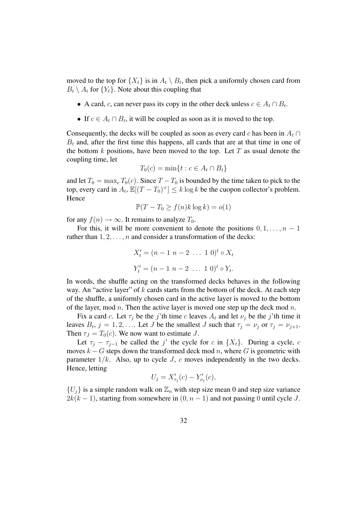moved to the top for  $\{X_t\}$  is in  $A_t \setminus B_t$ , then pick a uniformly chosen card from  $B_t \setminus A_t$  for  $\{Y_t\}$ . Note about this coupling that

- A card, *c*, can never pass its copy in the other deck unless  $c \in A_t \cap B_t$ .
- If  $c \in A_t \cap B_t$ , it will be coupled as soon as it is moved to the top.

Consequently, the decks will be coupled as soon as every card c has been in  $A_t \cap$  $B_t$  and, after the first time this happens, all cards that are at that time in one of the bottom  $k$  positions, have been moved to the top. Let  $T$  as usual denote the coupling time, let

$$
T_0(c) = \min\{t : c \in A_t \cap B_t\}
$$

and let  $T_0 = \max_c T_0(c)$ . Since  $T - T_0$  is bounded by the time taken to pick to the top, every card in  $A_t$ ,  $\mathbb{E}[(T - T_0)^+] \le k \log k$  be the cuopon collector's problem. Hence

$$
\mathbb{P}(T - T_0 \ge f(n)k \log k) = o(1)
$$

for any  $f(n) \to \infty$ . It remains to analyze  $T_0$ .

For this, it will be more convenient to denote the positions  $0, 1, \ldots, n - 1$ rather than  $1, 2, \ldots, n$  and consider a transformation of the decks:

$$
X'_{t} = (n - 1 \ n - 2 \ \dots \ 1 \ 0)^{t} \circ X_{t}
$$

$$
Y'_{t} = (n - 1 \ n - 2 \ \dots \ 1 \ 0)^{t} \circ Y_{t}.
$$

In words, the shuffle acting on the transformed decks behaves in the following way. An "active layer" of  $k$  cards starts from the bottom of the deck. At each step of the shuffle, a uniformly chosen card in the active layer is moved to the bottom of the layer, mod n. Then the active layer is moved one step up the deck mod n.

Fix a card c. Let  $\tau_j$  be the j'th time c leaves  $A_t$  and let  $\nu_j$  be the j'th time it leaves  $B_t$ ,  $j = 1, 2, \ldots$  Let J be the smallest J such that  $\tau_j = \nu_j$  or  $\tau_j = \nu_{j+1}$ . Then  $\tau_J = T_0(c)$ . We now want to estimate J.

Let  $\tau_j - \tau_{j-1}$  be called the j' the cycle for c in  $\{X_t\}$ . During a cycle, c moves  $k - G$  steps down the transformed deck mod n, where G is geometric with parameter  $1/k$ . Also, up to cycle J, c moves independently in the two decks. Hence, letting

$$
U_j = X'_{\tau_j}(c) - Y'_{\nu_j}(c),
$$

 ${U_j}$  is a simple random walk on  $\mathbb{Z}_n$  with step size mean 0 and step size variance  $2k(k-1)$ , starting from somewhere in  $(0, n-1)$  and not passing 0 until cycle J.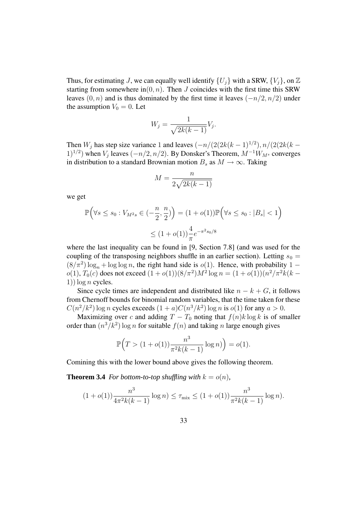Thus, for estimating J, we can equally well identify  $\{U_i\}$  with a SRW,  $\{V_i\}$ , on Z starting from somewhere in $(0, n)$ . Then J coincides with the first time this SRW leaves  $(0, n)$  and is thus dominated by the first time it leaves  $(-n/2, n/2)$  under the assumption  $V_0 = 0$ . Let

$$
W_j = \frac{1}{\sqrt{2k(k-1)}} V_j.
$$

Then  $W_j$  has step size variance 1 and leaves  $(-n/(2(2k(k-1)^{1/2}), n/(2(2k(k-1)^{1/2})))$  $(1)^{1/2}$ ) when  $V_j$  leaves  $(-n/2, n/2)$ . By Donsker's Theorem,  $M^{-1}W_{M^s}$  converges in distribution to a standard Brownian motion  $B_s$  as  $M \to \infty$ . Taking

$$
M = \frac{n}{2\sqrt{2k(k-1)}}
$$

we get

$$
\mathbb{P}\Big(\forall s \le s_0 : V_{M^2 s} \in \left(-\frac{n}{2}, \frac{n}{2}\right)\Big) = (1 + o(1))\mathbb{P}\Big(\forall s \le s_0 : |B_s| < 1\Big)
$$
\n
$$
\le (1 + o(1))\frac{4}{\pi}e^{-\pi^2 s_0/8}
$$

where the last inequality can be found in [9, Section 7.8] (and was used for the coupling of the transposing neighbors shuffle in an earlier section). Letting  $s_0 =$  $(8/\pi^2) \log_n + \log \log n$ , the right hand side is  $o(1)$ . Hence, with probability 1 –  $o(1)$ ,  $T_0(c)$  does not exceed  $(1 + o(1))(8/\pi^2)M^2 \log n = (1 + o(1))(n^2/\pi^2 k(k -$ 1))  $\log n$  cycles.

Since cycle times are independent and distributed like  $n - k + G$ , it follows from Chernoff bounds for binomial random variables, that the time taken for these  $C(n^2/k^2)$  log n cycles exceeds  $(1 + a)C(n^3/k^2)$  log n is  $o(1)$  for any  $a > 0$ .

Maximizing over c and adding  $T - T_0$  noting that  $f(n)k \log k$  is of smaller order than  $(n^3/k^2)$  log *n* for suitable  $f(n)$  and taking *n* large enough gives

$$
\mathbb{P}\Big(T > (1 + o(1))\frac{n^3}{\pi^2 k(k-1)}\log n)\Big) = o(1).
$$

Comining this with the lower bound above gives the following theorem.

**Theorem 3.4** *For bottom-to-top shuffling with*  $k = o(n)$ *,* 

$$
(1 + o(1))\frac{n^3}{4\pi^2k(k-1)}\log n) \le \tau_{\max} \le (1 + o(1))\frac{n^3}{\pi^2k(k-1)}\log n).
$$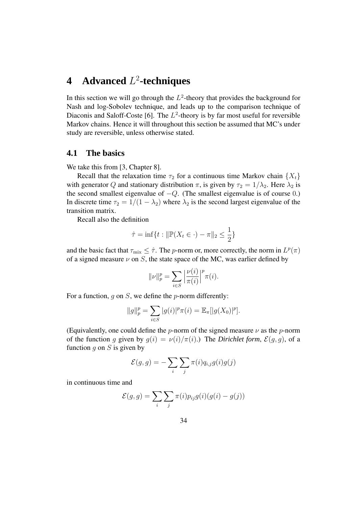# **4 Advanced** L 2 **-techniques**

In this section we will go through the  $L^2$ -theory that provides the background for Nash and log-Sobolev technique, and leads up to the comparison technique of Diaconis and Saloff-Coste [6]. The  $L^2$ -theory is by far most useful for reversible Markov chains. Hence it will throughout this section be assumed that MC's under study are reversible, unless otherwise stated.

### **4.1 The basics**

We take this from [3, Chapter 8].

Recall that the relaxation time  $\tau_2$  for a continuous time Markov chain  $\{X_t\}$ with generator Q and stationary distribution  $\pi$ , is given by  $\tau_2 = 1/\lambda_2$ . Here  $\lambda_2$  is the second smallest eigenvalue of  $-Q$ . (The smallest eigenvalue is of course 0.) In discrete time  $\tau_2 = 1/(1 - \lambda_2)$  where  $\lambda_2$  is the second largest eigenvalue of the transition matrix.

Recall also the definition

$$
\hat{\tau} = \inf\{t : ||\mathbb{P}(X_t \in \cdot) - \pi||_2 \le \frac{1}{2}\}
$$

and the basic fact that  $\tau_{\text{mix}} \leq \hat{\tau}$ . The *p*-norm or, more correctly, the norm in  $L^p(\pi)$ of a signed measure  $\nu$  on S, the state space of the MC, was earlier defined by

$$
\|\nu\|_{p}^{p} = \sum_{i \in S} \left| \frac{\nu(i)}{\pi(i)} \right|^{p} \pi(i).
$$

For a function, q on  $S$ , we define the p-norm differently:

$$
||g||_p^p = \sum_{i \in S} |g(i)|^p \pi(i) = \mathbb{E}_{\pi}[|g(X_0)|^p].
$$

(Equivalently, one could define the *p*-norm of the signed measure  $\nu$  as the *p*-norm of the function q given by  $q(i) = \nu(i)/\pi(i)$ .) The *Dirichlet form,*  $\mathcal{E}(q, q)$ , of a function q on  $S$  is given by

$$
\mathcal{E}(g,g) = -\sum_{i} \sum_{j} \pi(i) q_{i,j} g(i) g(j)
$$

in continuous time and

$$
\mathcal{E}(g,g) = \sum_{i} \sum_{j} \pi(i) p_{ij} g(i) (g(i) - g(j))
$$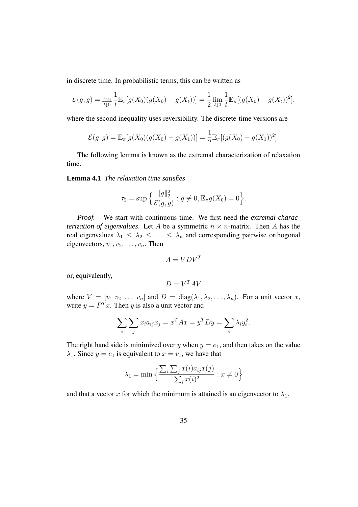in discrete time. In probabilistic terms, this can be written as

$$
\mathcal{E}(g,g) = \lim_{t \downarrow 0} \frac{1}{t} \mathbb{E}_{\pi}[g(X_0)(g(X_0) - g(X_t))] = \frac{1}{2} \lim_{t \downarrow 0} \frac{1}{t} \mathbb{E}_{\pi}[(g(X_0) - g(X_t))^2],
$$

where the second inequality uses reversibility. The discrete-time versions are

$$
\mathcal{E}(g,g) = \mathbb{E}_{\pi}[g(X_0)(g(X_0) - g(X_1))] = \frac{1}{2} \mathbb{E}_{\pi}[(g(X_0) - g(X_1))^2].
$$

The following lemma is known as the extremal characterization of relaxation time.

**Lemma 4.1** *The relaxation time satisfies*

$$
\tau_2 = \sup \Big\{ \frac{\|g\|_2^2}{\mathcal{E}(g, g)} : g \not\equiv 0, \mathbb{E}_{\pi} g(X_0) = 0 \Big\}.
$$

*Proof.* We start with continuous time. We first need the *extremal characterization of eigenvalues.* Let A be a symmetric  $n \times n$ -matrix. Then A has the real eigenvalues  $\lambda_1 \leq \lambda_2 \leq \ldots \leq \lambda_n$  and corresponding pairwise orthogonal eigenvectors,  $v_1, v_2, \ldots, v_n$ . Then

$$
A = VDV^T
$$

or, equivalently,

$$
D = V^T A V
$$

where  $V = [v_1 \, v_2 \, \dots \, v_n]$  and  $D = \text{diag}(\lambda_1, \lambda_2, \dots, \lambda_n)$ . For a unit vector x, write  $y = P<sup>T</sup> x$ . Then y is also a unit vector and

$$
\sum_{i} \sum_{j} x_i a_{ij} x_j = x^T A x = y^T D y = \sum_{i} \lambda_i y_i^2.
$$

The right hand side is minimized over y when  $y = e_1$ , and then takes on the value  $\lambda_1$ . Since  $y = e_1$  is equivalent to  $x = v_1$ , we have that

$$
\lambda_1 = \min \left\{ \frac{\sum_i \sum_j x(i) a_{ij} x(j)}{\sum_i x(i)^2} : x \neq 0 \right\}
$$

and that a vector x for which the minimum is attained is an eigenvector to  $\lambda_1$ .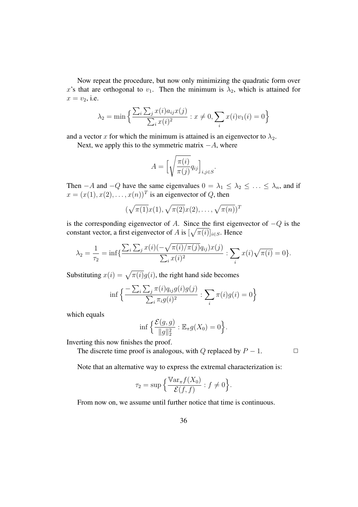Now repeat the procedure, but now only minimizing the quadratic form over x's that are orthogonal to  $v_1$ . Then the minimum is  $\lambda_2$ , which is attained for  $x = v_2$ , i.e.

$$
\lambda_2 = \min \left\{ \frac{\sum_i \sum_j x(i) a_{ij} x(j)}{\sum_i x(i)^2} : x \neq 0, \sum_i x(i) v_1(i) = 0 \right\}
$$

and a vector x for which the minimum is attained is an eigenvector to  $\lambda_2$ .

Next, we apply this to the symmetric matrix  $-A$ , where

$$
A = \left[\sqrt{\frac{\pi(i)}{\pi(j)}}q_{ij}\right]_{i,j \in S}.
$$

Then  $-A$  and  $-Q$  have the same eigenvalues  $0 = \lambda_1 \leq \lambda_2 \leq \ldots \leq \lambda_n$ , and if  $x = (x(1), x(2), \dots, x(n))^T$  is an eigenvector of Q, then

$$
(\sqrt{\pi(1)}x(1), \sqrt{\pi(2)}x(2), \ldots, \sqrt{\pi(n)})^T
$$

is the corresponding eigenvector of A. Since the first eigenvector of  $-Q$  is the constant vector, a first eigenvector of A is  $[\sqrt{\pi(i)}]_{i \in S}$ . Hence

$$
\lambda_2 = \frac{1}{\tau_2} = \inf \{ \frac{\sum_i \sum_j x(i) (-\sqrt{\pi(i)} / \pi(j)} q_{ij}) x(j)}{\sum_i x(i)^2} : \sum_i x(i) \sqrt{\pi(i)} = 0 \}.
$$

Substituting  $x(i) = \sqrt{\pi(i)}g(i)$ , the right hand side becomes

$$
\inf \left\{ \frac{-\sum_{i} \sum_{j} \pi(i) q_{ij} g(i) g(j)}{\sum_{i} \pi_{i} g(i)^{2}} : \sum_{i} \pi(i) g(i) = 0 \right\}
$$

which equals

$$
\inf \Big\{ \frac{\mathcal{E}(g,g)}{\|g\|_2^2} : \mathbb{E}_{\pi} g(X_0) = 0 \Big\}.
$$

Inverting this now finishes the proof.

The discrete time proof is analogous, with Q replaced by  $P - 1$ .  $\Box$ 

Note that an alternative way to express the extremal characterization is:

$$
\tau_2 = \sup \Big\{ \frac{\mathbb{V}\mathrm{ar}_{\pi} f(X_0)}{\mathcal{E}(f,f)} : f \neq 0 \Big\}.
$$

From now on, we assume until further notice that time is continuous.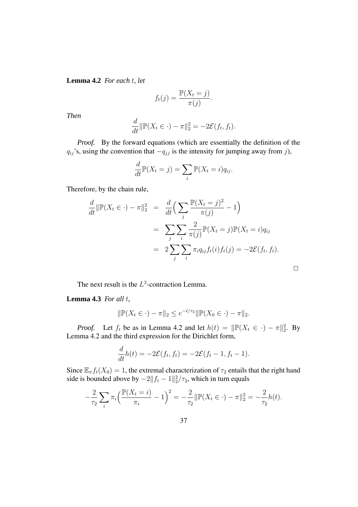**Lemma 4.2** *For each* t*, let*

$$
f_t(j) = \frac{\mathbb{P}(X_t = j)}{\pi(j)}.
$$

*Then*

$$
\frac{d}{dt} \|\mathbb{P}(X_t \in \cdot) - \pi\|_2^2 = -2\mathcal{E}(f_t, f_t).
$$

*Proof.* By the forward equations (which are essentially the definition of the  $q_{ij}$ 's, using the convention that  $-q_{jj}$  is the intensity for jumping away from j),

$$
\frac{d}{dt}\mathbb{P}(X_t = j) = \sum_i \mathbb{P}(X_t = i)q_{ij}.
$$

Therefore, by the chain rule,

$$
\frac{d}{dt} \|\mathbb{P}(X_t \in \cdot) - \pi\|_2^2 = \frac{d}{dt} \Big( \sum_j \frac{\mathbb{P}(X_t = j)^2}{\pi(j)} - 1 \Big)
$$
  
\n
$$
= \sum_j \sum_i \frac{2}{\pi(j)} \mathbb{P}(X_t = j) \mathbb{P}(X_t = i) q_{ij}
$$
  
\n
$$
= 2 \sum_j \sum_i \pi_i q_{ij} f_t(i) f_t(j) = -2\mathcal{E}(f_t, f_t).
$$

The next result is the  $L^2$ -contraction Lemma.

**Lemma 4.3** *For all* t*,*

$$
\|\mathbb{P}(X_t \in \cdot) - \pi\|_2 \le e^{-t/\tau_2} \|\mathbb{P}(X_0 \in \cdot) - \pi\|_2.
$$

*Proof.* Let  $f_t$  be as in Lemma 4.2 and let  $h(t) = ||\mathbb{P}(X_t \in \cdot) - \pi||_2^2$ . By Lemma 4.2 and the third expression for the Dirichlet form,

$$
\frac{d}{dt}h(t) = -2\mathcal{E}(f_t, f_t) = -2\mathcal{E}(f_t - 1, f_t - 1).
$$

Since  $\mathbb{E}_{\pi}f_t(X_0) = 1$ , the extremal characterization of  $\tau_2$  entails that the right hand side is bounded above by  $-2||f_t - 1||_2^2/\tau_2$ , which in turn equals

$$
-\frac{2}{\tau_2} \sum_i \pi_i \left( \frac{\mathbb{P}(X_t = i)}{\pi_i} - 1 \right)^2 = -\frac{2}{\tau_2} \|\mathbb{P}(X_t \in \cdot) - \pi\|_2^2 = -\frac{2}{\tau_2} h(t).
$$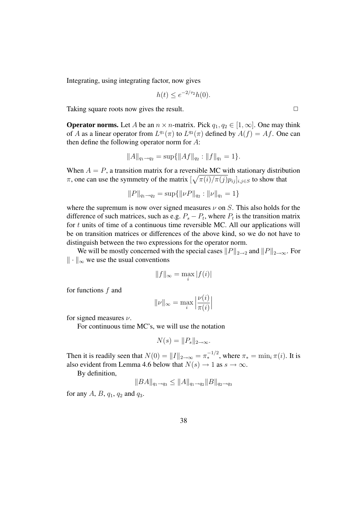Integrating, using integrating factor, now gives

$$
h(t) \le e^{-2/\tau_2}h(0).
$$

Taking square roots now gives the result.  $\Box$ 

**Operator norms.** Let A be an  $n \times n$ -matrix. Pick  $q_1, q_2 \in [1, \infty]$ . One may think of A as a linear operator from  $L^{q_1}(\pi)$  to  $L^{q_2}(\pi)$  defined by  $A(f) = Af$ . One can then define the following operator norm for A:

$$
||A||_{q_1 \to q_2} = \sup \{ ||Af||_{q_2} : ||f||_{q_1} = 1 \}.
$$

When  $A = P$ , a transition matrix for a reversible MC with stationary distribution  $\pi$ , one can use the symmetry of the matrix  $[\sqrt{\pi(i)/\pi(j)}p_{ij}]_{i,j\in S}$  to show that

$$
||P||_{q_1 \to q_2} = \sup \{ ||\nu P||_{q_2} : ||\nu||_{q_1} = 1 \}
$$

where the supremum is now over signed measures  $\nu$  on S. This also holds for the difference of such matrices, such as e.g.  $P_s - P_t$ , where  $P_t$  is the transition matrix for  $t$  units of time of a continuous time reversible MC. All our applications will be on transition matrices or differences of the above kind, so we do not have to distinguish between the two expressions for the operator norm.

We will be mostly concerned with the special cases  $||P||_{2\to2}$  and  $||P||_{2\to\infty}$ . For  $\|\cdot\|_{\infty}$  we use the usual conventions

$$
||f||_{\infty} = \max_{i} |f(i)|
$$

for functions f and

$$
\|\nu\|_{\infty}=\max_i\left|\frac{\nu(i)}{\pi(i)}\right|
$$

for signed measures  $\nu$ .

For continuous time MC's, we will use the notation

$$
N(s) = ||P_s||_{2 \to \infty}.
$$

Then it is readily seen that  $N(0) = ||I||_{2 \to \infty} = \pi_*^{-1/2}$ , where  $\pi_* = \min_i \pi(i)$ . It is also evident from Lemma 4.6 below that  $N(s) \rightarrow 1$  as  $s \rightarrow \infty$ .

By definition,

$$
||BA||_{q_1 \to q_3} \le ||A||_{q_1 \to q_2} ||B||_{q_2 \to q_3}
$$

for any  $A$ ,  $B$ ,  $q_1$ ,  $q_2$  and  $q_3$ .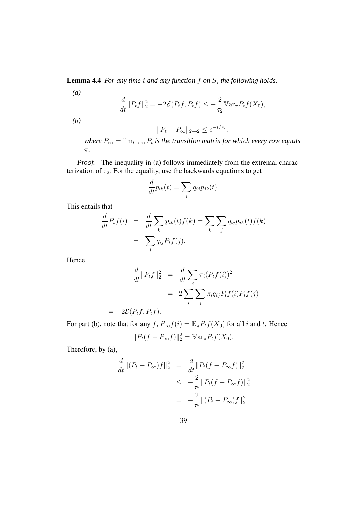**Lemma 4.4** *For any time* t *and any function* f *on* S*, the following holds.*

$$
\frac{d}{dt} ||P_t f||_2^2 = -2\mathcal{E}(P_t f, P_t f) \le -\frac{2}{\tau_2} \mathbb{V}\ar_{\pi} P_t f(X_0),
$$

*(b)*

*(a)*

$$
||P_t - P_{\infty}||_{2 \to 2} \le e^{-t/\tau_2},
$$

 $w$ *here*  $P_{\infty} = \lim_{t \to \infty} P_t$  is the transition matrix for which every row equals π*.*

*Proof.* The inequality in (a) follows immediately from the extremal characterization of  $\tau_2$ . For the equality, use the backwards equations to get

$$
\frac{d}{dt}p_{ik}(t) = \sum_{j} q_{ij}p_{jk}(t).
$$

This entails that

$$
\frac{d}{dt}P_t f(i) = \frac{d}{dt} \sum_k p_{ik}(t) f(k) = \sum_k \sum_j q_{ij} p_{jk}(t) f(k)
$$

$$
= \sum_j q_{ij} P_t f(j).
$$

Hence

$$
\frac{d}{dt} ||P_t f||_2^2 = \frac{d}{dt} \sum_i \pi_i (P_t f(i))^2
$$

$$
= 2 \sum_i \sum_j \pi_i q_{ij} P_t f(i) P_t f(j)
$$

$$
= -2\mathcal{E}(P_t f, P_t f).
$$

For part (b), note that for any f,  $P_{\infty}f(i) = \mathbb{E}_{\pi}P_tf(X_0)$  for all i and t. Hence  $||P_t(f - P_{\infty}f)||_2^2 = \mathbb{V}\ar_{\pi} P_t f(X_0).$ 

Therefore, by (a),

$$
\frac{d}{dt}||(P_t - P_{\infty})f||_2^2 = \frac{d}{dt}||P_t(f - P_{\infty}f)||_2^2
$$
  
\n
$$
\leq -\frac{2}{\tau_2}||P_t(f - P_{\infty}f)||_2^2
$$
  
\n
$$
= -\frac{2}{\tau_2}||(P_t - P_{\infty})f||_2^2.
$$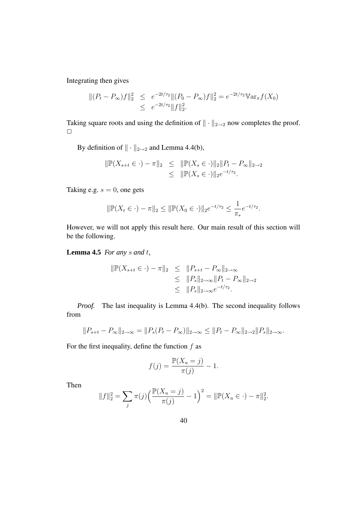Integrating then gives

$$
\begin{aligned} || (P_t - P_{\infty})f ||_2^2 &\leq e^{-2t/\tau_2} || (P_0 - P_{\infty})f ||_2^2 = e^{-2t/\tau_2} \mathbb{V} \text{ar}_{\pi} f(X_0) \\ &\leq e^{-2t/\tau_2} ||f||_2^2. \end{aligned}
$$

Taking square roots and using the definition of  $\|\cdot\|_{2\to 2}$  now completes the proof.  $\Box$ 

By definition of  $\|\cdot\|_{2\to 2}$  and Lemma 4.4(b),

$$
\|\mathbb{P}(X_{s+t} \in \cdot) - \pi\|_2 \leq \|\mathbb{P}(X_s \in \cdot)\|_2 \|P_t - P_{\infty}\|_{2 \to 2}
$$
  

$$
\leq \|\mathbb{P}(X_s \in \cdot)\|_2 e^{-t/\tau_2}.
$$

Taking e.g.  $s = 0$ , one gets

$$
\|\mathbb{P}(X_t \in \cdot) - \pi\|_2 \le \|\mathbb{P}(X_0 \in \cdot)\|_2 e^{-t/\tau_2} \le \frac{1}{\pi_*} e^{-t/\tau_2}.
$$

However, we will not apply this result here. Our main result of this section will be the following.

**Lemma 4.5** *For any* s *and* t*,*

$$
\begin{array}{rcl}\|\mathbb{P}(X_{s+t} \in \cdot) - \pi\|_2 & \leq & \|P_{s+t} - P_{\infty}\|_{2 \to \infty} \\
& \leq & \|P_s\|_{2 \to \infty} \|P_t - P_{\infty}\|_{2 \to 2} \\
& \leq & \|P_s\|_{2 \to \infty} e^{-t/\tau_2}.\n\end{array}
$$

*Proof.* The last inequality is Lemma 4.4(b). The second inequality follows from

$$
||P_{s+t} - P_{\infty}||_{2 \to \infty} = ||P_s(P_t - P_{\infty})||_{2 \to \infty} \le ||P_t - P_{\infty}||_{2 \to 2} ||P_s||_{2 \to \infty}.
$$

For the first inequality, define the function  $f$  as

$$
f(j) = \frac{\mathbb{P}(X_u = j)}{\pi(j)} - 1.
$$

Then

$$
||f||_2^2 = \sum_j \pi(j) \left( \frac{\mathbb{P}(X_u = j)}{\pi(j)} - 1 \right)^2 = ||\mathbb{P}(X_u \in \cdot) - \pi||_2^2.
$$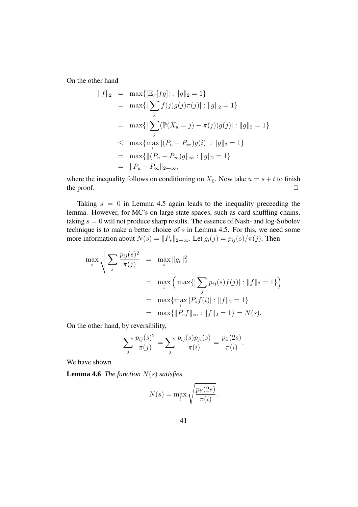On the other hand

$$
||f||_2 = \max{||\mathbb{E}_{\pi}[fg]|| : ||g||_2 = 1}
$$
  
=  $\max{||\sum_{j} f(j)g(j)\pi(j)|| : ||g||_2 = 1}$   
=  $\max{||\sum_{j} (\mathbb{P}(X_u = j) - \pi(j))g(j)|| : ||g||_2 = 1}$   
 $\leq \max{\max_{i} |(P_u - P_{\infty})g(i)| : ||g||_2 = 1}$   
=  $\max{||(P_u - P_{\infty})g||_{\infty} : ||g||_2 = 1}$   
=  $||P_u - P_{\infty}||_{2 \to \infty}$ ,

where the inequality follows on conditioning on  $X_0$ . Now take  $u = s + t$  to finish the proof.  $\Box$ 

Taking  $s = 0$  in Lemma 4.5 again leads to the inequality preceeding the lemma. However, for MC's on large state spaces, such as card shuffling chains, taking  $s = 0$  will not produce sharp results. The essence of Nash- and log-Sobolev technique is to make a better choice of s in Lemma 4.5. For this, we need some more information about  $N(s) = ||P_s||_{2\to\infty}$ . Let  $g_i(j) = p_{ij}(s)/\pi(j)$ . Then

$$
\max_{i} \sqrt{\sum_{j} \frac{p_{ij}(s)^2}{\pi(j)}} = \max_{i} \|g_i\|_2^2
$$
  
= 
$$
\max_{i} \left( \max\{|\sum_{j} p_{ij}(s)f(j)| : ||f||_2 = 1\} \right)
$$
  
= 
$$
\max\{ \max_{i} |P_s f(i)| : ||f||_2 = 1\}
$$
  
= 
$$
\max\{||P_s f||_{\infty} : ||f||_2 = 1\} = N(s).
$$

On the other hand, by reversibility,

$$
\sum_{j} \frac{p_{ij}(s)^2}{\pi(j)} = \sum_{j} \frac{p_{ij}(s)p_{ji}(s)}{\pi(i)} = \frac{p_{ii}(2s)}{\pi(i)}.
$$

We have shown

**Lemma 4.6** *The function* N(s) *satisfies*

$$
N(s) = \max_{i} \sqrt{\frac{p_{ii}(2s)}{\pi(i)}}.
$$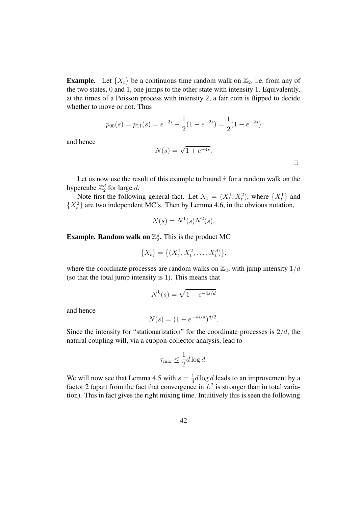**Example.** Let  $\{X_t\}$  be a continuous time random walk on  $\mathbb{Z}_2$ , i.e. from any of the two states, 0 and 1, one jumps to the other state with intensity 1. Equivalently, at the times of a Poisson process with intensity 2, a fair coin is flipped to decide whether to move or not. Thus

$$
p_{00}(s) = p_{11}(s) = e^{-2s} + \frac{1}{2}(1 - e^{-2s}) = \frac{1}{2}(1 - e^{-2s})
$$

and hence

$$
N(s) = \sqrt{1 + e^{-4s}}.
$$

 $\Box$ 

Let us now use the result of this example to bound  $\hat{\tau}$  for a random walk on the hypercube  $\mathbb{Z}_2^d$  for large d.

Note first the following general fact. Let  $X_t = (X_t^1, X_t^2)$ , where  $\{X_t^1\}$  and  $\{X_t^2\}$  are two independent MC's. Then by Lemma 4.6, in the obvious notation,

$$
N(s) = N^1(s)N^2(s).
$$

**Example. Random walk on**  $\mathbb{Z}_2^d$ **. This is the product MC** 

$$
\{X_t\} = \{(X_t^1, X_t^2, \dots, X_t^d)\},\
$$

where the coordinate processes are random walks on  $\mathbb{Z}_2$ , with jump intensity  $1/d$ (so that the total jump intensity is 1). This means that

$$
N^k(s) = \sqrt{1 + e^{-4s/d}}
$$

and hence

$$
N(s) = (1 + e^{-4s/d})^{d/2}.
$$

Since the intensity for "stationarization" for the coordinate processes is  $2/d$ , the natural coupling will, via a cuopon-collector analysis, lead to

$$
\tau_{\text{mix}} \le \frac{1}{2}d\log d.
$$

We will now see that Lemma 4.5 with  $s = \frac{1}{4}$  $\frac{1}{4}d\log d$  leads to an improvement by a factor 2 (apart from the fact that convergence in  $L^2$  is stronger than in total variation). This in fact gives the right mixing time. Intuitively this is seen the following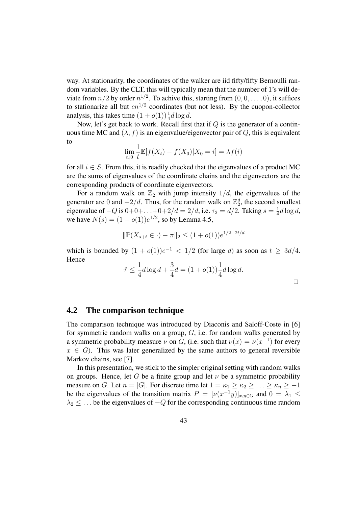way. At stationarity, the coordinates of the walker are iid fifty/fifty Bernoulli random variables. By the CLT, this will typically mean that the number of 1's will deviate from  $n/2$  by order  $n^{1/2}$ . To achive this, starting from  $(0, 0, \ldots, 0)$ , it suffices to stationarize all but  $cn^{1/2}$  coordinates (but not less). By the cuopon-collector analysis, this takes time  $(1 + o(1))\frac{1}{4}d \log d$ .

Now, let's get back to work. Recall first that if  $Q$  is the generator of a continuous time MC and  $(\lambda, f)$  is an eigenvalue/eigenvector pair of Q, this is equivalent to

$$
\lim_{t \downarrow 0} \frac{1}{t} \mathbb{E}[f(X_t) - f(X_0)|X_0 = i] = \lambda f(i)
$$

for all  $i \in S$ . From this, it is readily checked that the eigenvalues of a product MC are the sums of eigenvalues of the coordinate chains and the eigenvectors are the corresponding products of coordinate eigenvectors.

For a random walk on  $\mathbb{Z}_2$  with jump intensity  $1/d$ , the eigenvalues of the generator are 0 and  $-2/d$ . Thus, for the random walk on  $\mathbb{Z}_2^d$ , the second smallest eigenvalue of  $-Q$  is  $0+0+...+0+2/d = 2/d$ , i.e.  $\tau_2 = d/2$ . Taking  $s = \frac{1}{4}$  $\frac{1}{4}d\log d,$ we have  $N(s) = (1 + o(1))e^{1/2}$ , so by Lemma 4.5,

$$
\|\mathbb{P}(X_{s+t} \in \cdot) - \pi\|_2 \le (1 + o(1))e^{1/2 - 2t/d}
$$

which is bounded by  $(1 + o(1))e^{-1} < 1/2$  (for large d) as soon as  $t \geq 3d/4$ . Hence

$$
\hat{\tau} \le \frac{1}{4}d\log d + \frac{3}{4}d = (1 + o(1))\frac{1}{4}d\log d.
$$

 $\Box$ 

### **4.2 The comparison technique**

The comparison technique was introduced by Diaconis and Saloff-Coste in [6] for symmetric random walks on a group,  $G$ , i.e. for random walks generated by a symmetric probability measure  $\nu$  on G, (i.e. such that  $\nu(x) = \nu(x^{-1})$  for every  $x \in G$ ). This was later generalized by the same authors to general reversible Markov chains, see [7].

In this presentation, we stick to the simpler original setting with random walks on groups. Hence, let G be a finite group and let  $\nu$  be a symmetric probability measure on G. Let  $n = |G|$ . For discrete time let  $1 = \kappa_1 \geq \kappa_2 \geq \ldots \geq \kappa_n \geq -1$ be the eigenvalues of the transition matrix  $P = [\nu(x^{-1}y)]_{x,y \in G}$  and  $0 = \lambda_1 \leq$  $\lambda_2 \leq \ldots$  be the eigenvalues of  $-Q$  for the corresponding continuous time random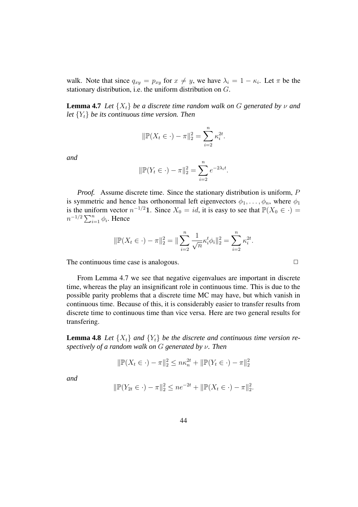walk. Note that since  $q_{xy} = p_{xy}$  for  $x \neq y$ , we have  $\lambda_i = 1 - \kappa_i$ . Let  $\pi$  be the stationary distribution, i.e. the uniform distribution on G.

**Lemma 4.7** *Let*  $\{X_t\}$  *be a discrete time random walk on* G generated *by*  $\nu$  *and let*  ${Y_t}$  *be its continuous time version. Then* 

$$
\|\mathbb{P}(X_t \in \cdot) - \pi\|_2^2 = \sum_{i=2}^n \kappa_i^{2t}.
$$

*and*

$$
\|\mathbb{P}(Y_t \in \cdot) - \pi\|_2^2 = \sum_{i=2}^n e^{-2\lambda_i t}.
$$

*Proof.* Assume discrete time. Since the stationary distribution is uniform, P is symmetric and hence has orthonormal left eigenvectors  $\phi_1, \ldots, \phi_n$ , where  $\phi_1$ is the uniform vector  $n^{-1/2}$ 1. Since  $X_0 = id$ , it is easy to see that  $\mathbb{P}(X_0 \in \cdot) =$  $n^{-1/2} \sum_{i=1}^{n} \phi_i$ . Hence

$$
\|\mathbb{P}(X_t \in \cdot) - \pi\|_2^2 = \|\sum_{i=2}^n \frac{1}{\sqrt{n}} \kappa_i^t \phi_i\|_2^2 = \sum_{i=2}^n \kappa_i^{2t}.
$$

The continuous time case is analogous.  $\Box$ 

From Lemma 4.7 we see that negative eigenvalues are important in discrete time, whereas the play an insignificant role in continuous time. This is due to the possible parity problems that a discrete time MC may have, but which vanish in continuous time. Because of this, it is considerably easier to transfer results from discrete time to continuous time than vice versa. Here are two general results for transfering.

**Lemma 4.8** Let  $\{X_t\}$  and  $\{Y_t\}$  be the discrete and continuous time version re*spectively of a random walk on* G *generated by* ν*. Then*

$$
\|\mathbb{P}(X_t \in \cdot) - \pi\|_2^2 \le n\kappa_n^{2t} + \|\mathbb{P}(Y_t \in \cdot) - \pi\|_2^2
$$

*and*

$$
\|\mathbb{P}(Y_{2t} \in \cdot) - \pi\|_2^2 \leq n e^{-2t} + \|\mathbb{P}(X_t \in \cdot) - \pi\|_2^2.
$$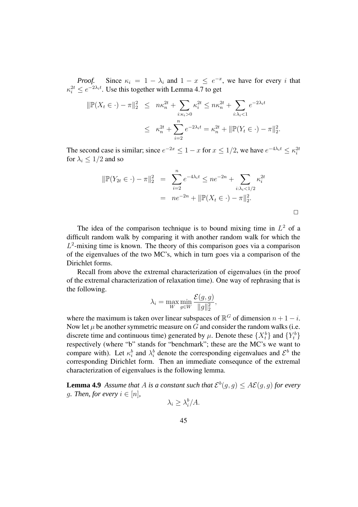*Proof.* Since  $\kappa_i = 1 - \lambda_i$  and  $1 - x \leq e^{-x}$ Since  $\kappa_i = 1 - \lambda_i$  and  $1 - x \le e^{-x}$ , we have for every i that  $\kappa_i^{2t} \leq e^{-2\lambda_i t}$ . Use this together with Lemma 4.7 to get

$$
\|\mathbb{P}(X_t \in \cdot) - \pi\|_2^2 \leq n\kappa_n^{2t} + \sum_{i:\kappa_i>0} \kappa_i^{2t} \leq n\kappa_n^{2t} + \sum_{i:\lambda_i<1} e^{-2\lambda_i t}
$$
  

$$
\leq \kappa_n^{2t} + \sum_{i=2}^n e^{-2\lambda_i t} = \kappa_n^{2t} + \|\mathbb{P}(Y_t \in \cdot) - \pi\|_2^2.
$$

The second case is similar; since  $e^{-2x} \leq 1 - x$  for  $x \leq 1/2$ , we have  $e^{-4\lambda_i t} \leq \kappa_i^{2t}$ for  $\lambda_i \leq 1/2$  and so

$$
\|\mathbb{P}(Y_{2t} \in \cdot) - \pi\|_{2}^{2} = \sum_{i=2}^{n} e^{-4\lambda_{i}t} \le ne^{-2n} + \sum_{i:\lambda_{i} < 1/2} \kappa_{i}^{2t}
$$
  
=  $ne^{-2n} + \|\mathbb{P}(X_{t} \in \cdot) - \pi\|_{2}^{2}$ .

The idea of the comparison technique is to bound mixing time in  $L^2$  of a difficult random walk by comparing it with another random walk for which the  $L^2$ -mixing time is known. The theory of this comparison goes via a comparison of the eigenvalues of the two MC's, which in turn goes via a comparison of the Dirichlet forms.

Recall from above the extremal characterization of eigenvalues (in the proof of the extremal characterization of relaxation time). One way of rephrasing that is the following.

$$
\lambda_i = \max_{W} \min_{g \in W} \frac{\mathcal{E}(g, g)}{\|g\|_2^2},
$$

where the maximum is taken over linear subspaces of  $\mathbb{R}^G$  of dimension  $n + 1 - i$ . Now let  $\mu$  be another symmetric measure on G and consider the random walks (i.e. discrete time and continuous time) generated by  $\mu$ . Denote these  $\{X_t^b\}$  and  $\{Y_t^b\}$ respectively (where "b" stands for "benchmark"; these are the MC's we want to compare with). Let  $\kappa_i^b$  and  $\lambda_i^b$  denote the corresponding eigenvalues and  $\mathcal{E}^b$  the corresponding Dirichlet form. Then an immediate consequnce of the extremal characterization of eigenvalues is the following lemma.

**Lemma 4.9** *Assume that A is a constant such that*  $\mathcal{E}^b(g, g) \leq A\mathcal{E}(g, g)$  *for every g. Then, for every*  $i \in [n]$ ,

$$
\lambda_i \geq \lambda_i^b / A.
$$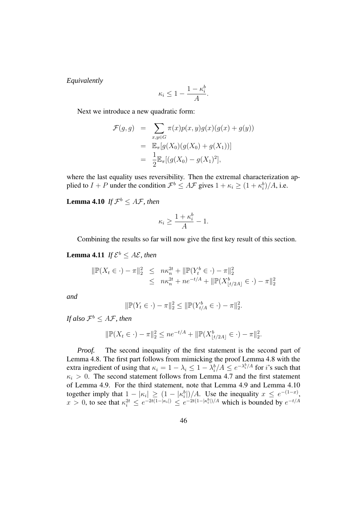*Equivalently*

$$
\kappa_i \le 1 - \frac{1 - \kappa_i^b}{A}.
$$

Next we introduce a new quadratic form:

$$
\mathcal{F}(g, g) = \sum_{x, y \in G} \pi(x) p(x, y) g(x) (g(x) + g(y))
$$
  
= 
$$
\mathbb{E}_{\pi}[g(X_0)(g(X_0) + g(X_1))]
$$
  
= 
$$
\frac{1}{2} \mathbb{E}_{\pi}[(g(X_0) - g(X_1)^2],
$$

where the last equality uses reversibility. Then the extremal characterization applied to  $I + P$  under the condition  $\mathcal{F}^b \leq A\mathcal{F}$  gives  $1 + \kappa_i \geq (1 + \kappa_i^b)/A$ , i.e.

**Lemma 4.10** *If*  $\mathcal{F}^b \leq A\mathcal{F}$ , *then* 

$$
\kappa_i \ge \frac{1 + \kappa_i^b}{A} - 1.
$$

Combining the results so far will now give the first key result of this section.

**Lemma 4.11** *If*  $\mathcal{E}^b \leq A\mathcal{E}$ , *then* 

$$
\|\mathbb{P}(X_t \in \cdot) - \pi\|_2^2 \leq n\kappa_n^{2t} + \|\mathbb{P}(Y_t^b \in \cdot) - \pi\|_2^2
$$
  

$$
\leq n\kappa_n^{2t} + n e^{-t/A} + \|\mathbb{P}(X_{\lfloor t/2A \rfloor}^b \in \cdot) - \pi\|_2^2
$$

*and*

$$
\|\mathbb{P}(Y_t \in \cdot) - \pi\|_2^2 \le \|\mathbb{P}(Y_{t/A}^b \in \cdot) - \pi\|_2^2.
$$

If also  $\mathcal{F}^b \leq A\mathcal{F}$ , then

$$
\|\mathbb{P}(X_t \in \cdot) - \pi\|_2^2 \le n e^{-t/A} + \|\mathbb{P}(X_{\lfloor t/2A \rfloor}^b \in \cdot) - \pi\|_2^2.
$$

*Proof.* The second inequality of the first statement is the second part of Lemma 4.8. The first part follows from mimicking the proof Lemma 4.8 with the extra ingredient of using that  $\kappa_i = 1 - \lambda_i \leq 1 - \lambda_i^b / A \leq e^{-\lambda_i^b / A}$  for *i*'s such that  $\kappa_i > 0$ . The second statement follows from Lemma 4.7 and the first statement of Lemma 4.9. For the third statement, note that Lemma 4.9 and Lemma 4.10 together imply that  $1 - |\kappa_i| \geq (1 - |\kappa_i^b|)/A$ . Use the inequality  $x \leq e^{-(1-x)}$  $x > 0$ , to see that  $\kappa_i^{2t} \leq e^{-2t(1-|\kappa_i|)} \leq e^{-2t(1-|\kappa_i^b|)/A}$  which is bounded by  $e^{-t/A}$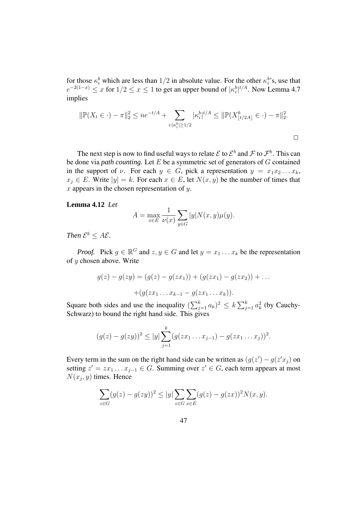for those  $\kappa_i^b$  which are less than  $1/2$  in absolute value. For the other  $\kappa_i^b$ 's, use that  $e^{-2(1-x)} \le x$  for  $1/2 \le x \le 1$  to get an upper bound of  $|\kappa_i^b|^{t/A}$ . Now Lemma 4.7 implies

$$
\|\mathbb{P}(X_t \in \cdot) - \pi\|_2^2 \le n e^{-t/A} + \sum_{i: |\kappa_i^b| \ge 1/2} |\kappa_i^b|^{t/A} \le \|\mathbb{P}(X_{\lfloor t/2A \rfloor}^b \in \cdot) - \pi\|_2^2.
$$

The next step is now to find useful ways to relate  $\mathcal E$  to  $\mathcal E^b$  and  $\mathcal F$  to  $\mathcal F^b$ . This can be done via *path counting.* Let E be a symmetric set of generators of G contained in the support of v. For each  $y \in G$ , pick a representation  $y = x_1x_2...x_k$ ,  $x_i \in E$ . Write  $|y| = k$ . For each  $x \in E$ , let  $N(x, y)$  be the number of times that x appears in the chosen representation of  $y$ .

#### **Lemma 4.12** *Let*

$$
A = \max_{x \in E} \frac{1}{\nu(x)} \sum_{y \in G} |y| N(x, y) \mu(y).
$$

*Then*  $\mathcal{E}^b \leq A\mathcal{E}$ *.* 

*Proof.* Pick  $g \in \mathbb{R}^G$  and  $z, y \in G$  and let  $y = x_1 \dots x_k$  be the representation of y chosen above. Write

$$
g(z) - g(zy) = (g(z) - g(zx1)) + (g(zx1) - g(zx2)) + ... + (g(zx1...xk-1 - g(zx1...xk)).
$$

Square both sides and use the inequality  $(\sum_{j=1}^{k} a_k)^2 \le k \sum_{j=1}^{k} a_k^2$  (by Cauchy-Schwarz) to bound the right hand side. This gives

$$
(g(z) - g(zy))^2 \le |y| \sum_{j=1}^k (g(zx_1 \ldots x_{j-1}) - g(zx_1 \ldots x_j))^2.
$$

Every term in the sum on the right hand side can be written as  $(g(z') - g(z'x_j))$  on setting  $z' = zx_1 \dots x_{j-1} \in G$ . Summing over  $z' \in G$ , each term appears at most  $N(x_j, y)$  times. Hence

$$
\sum_{z \in G} (g(z) - g(zy))^2 \le |y| \sum_{z \in G} \sum_{x \in E} (g(z) - g(zx))^2 N(x, y).
$$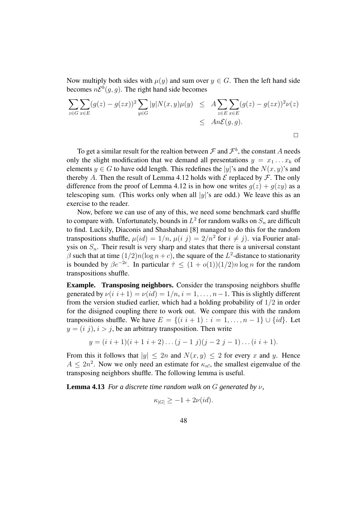Now multiply both sides with  $\mu(y)$  and sum over  $y \in G$ . Then the left hand side becomes  $n\mathcal{E}^b(g, g)$ . The right hand side becomes

$$
\sum_{z \in G} \sum_{x \in E} (g(z) - g(zx))^2 \sum_{y \in G} |y| N(x, y) \mu(y) \leq A \sum_{z \in E} \sum_{x \in E} (g(z) - g(zx))^2 \nu(z)
$$
  

$$
\leq An\mathcal{E}(g, g).
$$

To get a similar result for the realtion between  $\mathcal F$  and  $\mathcal F^b$ , the constant A needs only the slight modification that we demand all presentations  $y = x_1 \dots x_k$  of elements  $y \in G$  to have odd length. This redefines the |y|'s and the  $N(x, y)$ 's and thereby A. Then the result of Lemma 4.12 holds with  $\mathcal E$  replaced by  $\mathcal F$ . The only difference from the proof of Lemma 4.12 is in how one writes  $g(z) + g(zy)$  as a telescoping sum. (This works only when all  $|y|$ 's are odd.) We leave this as an exercise to the reader.

Now, before we can use of any of this, we need some benchmark card shuffle to compare with. Unfortunately, bounds in  $L^2$  for random walks on  $S_n$  are difficult to find. Luckily, Diaconis and Shashahani [8] managed to do this for the random transpositions shuffle,  $\mu(id) = 1/n$ ,  $\mu(i|j) = 2/n^2$  for  $i \neq j$ ). via Fourier analysis on  $S_n$ . Their result is very sharp and states that there is a universal constant  $\beta$  such that at time  $(1/2)n(\log n + c)$ , the square of the  $L^2$ -distance to stationarity is bounded by  $\beta e^{-2c}$ . In particular  $\hat{\tau} \leq (1 + o(1))(1/2)n \log n$  for the random transpositions shuffle.

**Example. Transposing neighbors.** Consider the transposing neighbors shuffle generated by  $\nu(i \; i+1) = \nu(id) = 1/n$ ,  $i = 1, \ldots, n-1$ . This is slightly different from the version studied earlier, which had a holding probability of  $1/2$  in order for the disigned coupling there to work out. We compare this with the random tranpositions shuffle. We have  $E = \{(i \ i+1) : i = 1, \ldots, n-1\} \cup \{id\}$ . Let  $y = (i, j), i > j$ , be an arbitrary transposition. Then write

$$
y = (i \ i + 1)(i + 1 \ i + 2) \dots (j - 1 \ j)(j - 2 \ j - 1) \dots (i \ i + 1).
$$

From this it follows that  $|y| \le 2n$  and  $N(x, y) \le 2$  for every x and y. Hence  $A \leq 2n^2$ . Now we only need an estimate for  $\kappa_{n!}$ , the smallest eigenvalue of the transposing neighbors shuffle. The following lemma is useful.

**Lemma 4.13** *For a discrete time random walk on* G *generated by* ν*,*

$$
\kappa_{|G|} \ge -1 + 2\nu(id).
$$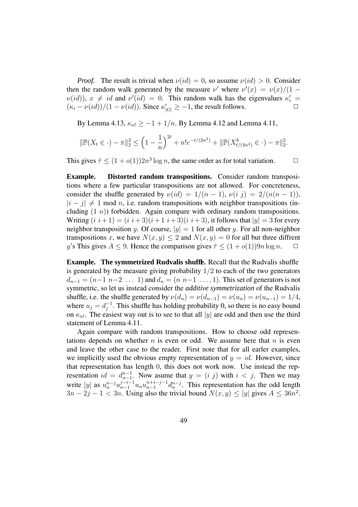*Proof.* The result is trivial when  $\nu(id) = 0$ , so assume  $\nu(id) > 0$ . Consider then the random walk generated by the measure  $\nu'$  where  $\nu'(x) = \nu(x)/(1 \nu(id)$ ,  $x \neq id$  and  $\nu'(id) = 0$ . This random walk has the eigenvalues  $\kappa'_i =$  $(\kappa_i - \nu(id))/(1 - \nu(id)).$  Since  $\kappa'_{|G|} \ge -1$ , the result follows.

By Lemma 4.13,  $\kappa_{n!} \ge -1 + 1/n$ . By Lemma 4.12 and Lemma 4.11,

$$
\|\mathbb{P}(X_t \in \cdot) - \pi\|_2^2 \le \left(1 - \frac{1}{n}\right)^{2t} + n!e^{-t/(2n^2)} + \|\mathbb{P}(X_{t/(4n^2)}^b \in \cdot) - \pi\|_2^2.
$$

This gives  $\hat{\tau} \leq (1 + o(1))2n^3 \log n$ , the same order as for total variation.  $\Box$ 

**Example. Distorted random transpositions.** Consider random transpositions where a few particular transpositions are not allowed. For concreteness, consider the shuffle generated by  $\nu(id) = 1/(n-1)$ ,  $\nu(i\,j) = 2/(n(n-1))$ ,  $|i - j| \neq 1$  mod n, i.e. random transpositions with neighbor transpositions (including  $(1 n)$  forbidden. Again compare with ordinary random transpositions. Writing  $(i \ i+1) = (i \ i+3)(i+1 \ i+3)(i \ i+3)$ , it follows that  $|y| = 3$  for every neighbor transposition y. Of course,  $|y| = 1$  for all other y. For all non-neighbor transpositions x, we have  $N(x, y) \le 2$  and  $N(x, y) = 0$  for all but three diffrent <br> w's This gives  $A \le 9$ . Hence the comparison gives  $\hat{\tau} \le (1 + o(1))9n \log n$ . y's This gives  $A \le 9$ . Hence the comparison gives  $\hat{\tau} \le (1 + o(1))9n \log n$ .

**Example. The symmetrized Rudvalis shuffle.** Recall that the Rudvalis shuffle is generated by the measure giving probability  $1/2$  to each of the two generators  $d_{n-1} = (n-1 \ n-2 \ \ldots \ 1)$  and  $d_n = (n \ n-1 \ \ldots, 1)$ . This set of generators is not symmetric, so let us instead consider the *additive symmetrization* of the Rudvalis shuffle, i.e. the shuffle generated by  $\nu(d_n) = \nu(d_{n-1}) = \nu(u_n) = \nu(u_{n-1}) = 1/4$ , where  $u_j = d_i^{-1}$  $j^{-1}$ . This shuffle has holding probability 0, so there is no easy bound on  $\kappa_{n!}$ . The easiest way out is to see to that all |y| are odd and then use the third statement of Lemma 4.11.

Again compare with random transpositions. How to choose odd representations depends on whether  $n$  is even or odd. We assume here that  $n$  is even and leave the other case to the reader. First note that for all earler examples, we implicitly used the obvious empty representation of  $y = id$ . However, since that representation has length 0, this does not work now. Use instead the representation  $id = d_{n-1}^{n-1}$ . Now asume that  $y = (i, j)$  with  $i < j$ . Then we may write |y| as  $u_n^{n-j} u_{n-1}^{j-i-1} u_n u_{n-1}^{n+j-1} d_n^{n-j}$ . This representation has the odd length  $3n - 2j - 1 < 3n$ . Using also the trivial bound  $N(x, y) \le |y|$  gives  $A \le 36n^2$ .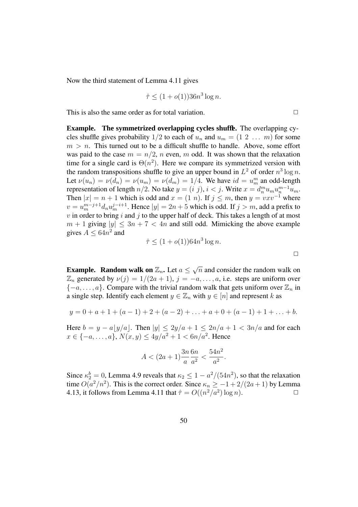Now the third statement of Lemma 4.11 gives

$$
\hat{\tau} \le (1 + o(1))36n^3 \log n.
$$

This is also the same order as for total variation.  $\Box$ 

**Example. The symmetrized overlapping cycles shuffle.** The overlapping cycles shuffle gives probability  $1/2$  to each of  $u_n$  and  $u_m = (1 \ 2 \ \dots \ m)$  for some  $m > n$ . This turned out to be a difficult shuffle to handle. Above, some effort was paid to the case  $m = n/2$ , n even, m odd. It was shown that the relaxation time for a single card is  $\Theta(n^2)$ . Here we compare its symmetrized version with the random transpositions shuffle to give an upper bound in  $L^2$  of order  $n^3 \log n$ . Let  $\nu(u_n) = \nu(d_n) = \nu(u_m) = \nu(d_m) = 1/4$ . We have  $id = u_m^m$  an odd-length representation of length  $n/2$ . No take  $y = (i\ j), i < j$ . Write  $x = d_n^m u_m u_n^{m-1} u_m$ . Then  $|x| = n + 1$  which is odd and  $x = (1 \ n)$ . If  $j \le m$ , then  $y = v x v^{-1}$  where  $v = u_m^{m-j+1} d_n u_m^{j-i+1}$ . Hence  $|y| = 2n+5$  which is odd. If  $j > m$ , add a prefix to  $v$  in order to bring i and j to the upper half of deck. This takes a length of at most  $m + 1$  giving  $|y| \leq 3n + 7 < 4n$  and still odd. Mimicking the above example gives  $A \leq 64n^2$  and

$$
\hat{\tau} \le (1 + o(1))64n^3 \log n.
$$

**Example. Random walk on**  $\mathbb{Z}_n$ . Let  $a \leq \sqrt{n}$  and consider the random walk on  $\mathbb{Z}_n$  generated by  $\nu(j) = 1/(2a + 1), j = -a, \ldots, a$ , i.e. steps are uniform over  ${-a, \ldots, a}$ . Compare with the trivial random walk that gets uniform over  $\mathbb{Z}_n$  in a single step. Identify each element  $y \in \mathbb{Z}_n$  with  $y \in [n]$  and represent k as

$$
y = 0 + a + 1 + (a - 1) + 2 + (a - 2) + \ldots + a + 0 + (a - 1) + 1 + \ldots + b.
$$

Here  $b = y - a|y/a|$ . Then  $|y| \leq 2y/a + 1 \leq 2n/a + 1 < 3n/a$  and for each  $x \in \{-a, \ldots, a\}, N(x, y) \le 4y/a^2 + 1 < 6n/a^2$ . Hence

$$
A < (2a+1)\frac{3n}{a}\frac{6n}{a^2} < \frac{54n^2}{a^2}.
$$

Since  $\kappa_2^b = 0$ , Lemma 4.9 reveals that  $\kappa_2 \leq 1 - a^2/(54n^2)$ , so that the relaxation time  $O(a^2/n^2)$ . This is the correct order. Since  $\kappa_n \ge -1 + 2/(2a+1)$  by Lemma 4.13, it follows from Lemma 4.11 that  $\hat{\tau} = O((n^2/a^2) \log n)$ .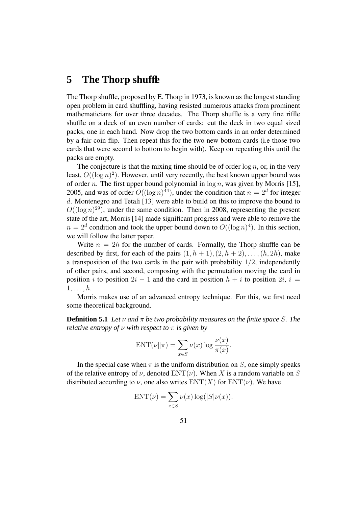# **5 The Thorp shuffle**

The Thorp shuffle, proposed by E. Thorp in 1973, is known as the longest standing open problem in card shuffling, having resisted numerous attacks from prominent mathematicians for over three decades. The Thorp shuffle is a very fine riffle shuffle on a deck of an even number of cards: cut the deck in two equal sized packs, one in each hand. Now drop the two bottom cards in an order determined by a fair coin flip. Then repeat this for the two new bottom cards (i.e those two cards that were second to bottom to begin with). Keep on repeating this until the packs are empty.

The conjecture is that the mixing time should be of order  $\log n$ , or, in the very least,  $O((\log n)^2)$ . However, until very recently, the best known upper bound was of order n. The first upper bound polynomial in  $\log n$ , was given by Morris [15], 2005, and was of order  $O((\log n)^{44})$ , under the condition that  $n = 2^d$  for integer d. Montenegro and Tetali [13] were able to build on this to improve the bound to  $O((\log n)^{29})$ , under the same condition. Then in 2008, representing the present state of the art, Morris [14] made significant progress and were able to remove the  $n = 2^d$  condition and took the upper bound down to  $O((\log n)^4)$ . In this section, we will follow the latter paper.

Write  $n = 2h$  for the number of cards. Formally, the Thorp shuffle can be described by first, for each of the pairs  $(1, h + 1), (2, h + 2), \ldots, (h, 2h)$ , make a transposition of the two cards in the pair with probability  $1/2$ , independently of other pairs, and second, composing with the permutation moving the card in position i to position  $2i - 1$  and the card in position  $h + i$  to position  $2i$ ,  $i =$  $1, \ldots, h$ .

Morris makes use of an advanced entropy technique. For this, we first need some theoretical background.

**Definition 5.1** *Let*  $\nu$  *and*  $\pi$  *be two probability measures on the finite space S. The relative entropy of*  $\nu$  *with respect to*  $\pi$  *is given by* 

$$
ENT(\nu \| \pi) = \sum_{x \in S} \nu(x) \log \frac{\nu(x)}{\pi(x)}.
$$

In the special case when  $\pi$  is the uniform distribution on S, one simply speaks of the relative entropy of  $\nu$ , denoted  $ENT(\nu)$ . When X is a random variable on S distributed according to  $\nu$ , one also writes  $ENT(X)$  for  $ENT(\nu)$ . We have

$$
ENT(\nu) = \sum_{x \in S} \nu(x) \log(|S|\nu(x)).
$$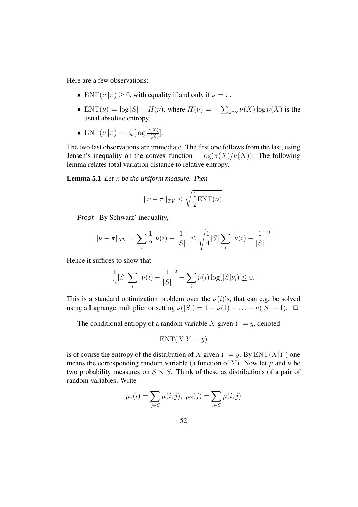Here are a few observations:

- ENT $(\nu \| \pi) \geq 0$ , with equality if and only if  $\nu = \pi$ .
- ENT $(\nu) = \log |S| H(\nu)$ , where  $H(\nu) = -\sum_{x \in S} \nu(X) \log \nu(X)$  is the usual absolute entropy.
- ENT $(\nu \| \pi) = \mathbb{E}_{\nu}[\log \frac{\nu(X)}{\pi(X)}].$

The two last observations are immediate. The first one follows from the last, using Jensen's inequality on the convex function  $-\log(\pi(X)/\nu(X))$ . The following lemma relates total variation distance to relative entropy.

**Lemma** 5.1 Let  $\pi$  be the uniform measure. Then

$$
\|\nu - \pi\|_{TV} \le \sqrt{\frac{1}{2} \text{ENT}(\nu)}.
$$

*Proof.* By Schwarz' inequality,

$$
\|\nu - \pi\|_{TV} = \sum_{i} \frac{1}{2} \left| \nu(i) - \frac{1}{|S|} \right| \le \sqrt{\frac{1}{4} |S| \sum_{i} \left| \nu(i) - \frac{1}{|S|} \right|^2}.
$$

Hence it suffices to show that

$$
\frac{1}{2}|S|\sum_{i} |\nu(i) - \frac{1}{|S|}|^{2} - \sum_{i} \nu(i) \log(|S|\nu_{i}) \leq 0.
$$

This is a standard optimization problem over the  $\nu(i)$ 's, that can e.g. be solved using a Lagrange multiplier or setting  $\nu(|S|) = 1 - \nu(1) - \ldots - \nu(|S| - 1)$ .  $\Box$ 

The conditional entropy of a random variable X given  $Y = y$ , denoted

$$
ENT(X|Y=y)
$$

is of course the entropy of the distribution of X given  $Y = y$ . By  $ENT(X|Y)$  one means the corresponding random variable (a function of Y). Now let  $\mu$  and  $\nu$  be two probability measures on  $S \times S$ . Think of these as distributions of a pair of random variables. Write

$$
\mu_1(i) = \sum_{j \in S} \mu(i, j), \ \mu_2(j) = \sum_{i \in S} \mu(i, j)
$$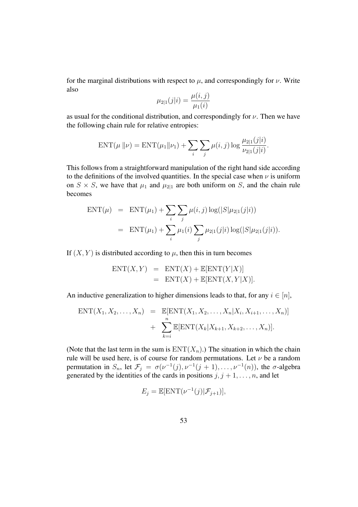for the marginal distributions with respect to  $\mu$ , and correspondingly for  $\nu$ . Write also

$$
\mu_{2|1}(j|i) = \frac{\mu(i,j)}{\mu_1(i)}
$$

as usual for the conditional distribution, and correspondingly for  $\nu$ . Then we have the following chain rule for relative entropies:

$$
ENT(\mu \| \nu) = ENT(\mu_1 \| \nu_1) + \sum_{i} \sum_{j} \mu(i, j) \log \frac{\mu_{2|1}(j|i)}{\nu_{2|1}(j|i)}.
$$

This follows from a straightforward manipulation of the right hand side according to the definitions of the involved quantities. In the special case when  $\nu$  is uniform on  $S \times S$ , we have that  $\mu_1$  and  $\mu_{2|1}$  are both uniform on S, and the chain rule becomes

$$
ENT(\mu) = ENT(\mu_1) + \sum_{i} \sum_{j} \mu(i, j) \log(|S|\mu_{2|1}(j|i))
$$
  
=  $ENT(\mu_1) + \sum_{i} \mu_1(i) \sum_{j} \mu_{2|1}(j|i) \log(|S|\mu_{2|1}(j|i)).$ 

If  $(X, Y)$  is distributed according to  $\mu$ , then this in turn becomes

$$
ENT(X, Y) = ENT(X) + E[ENT(Y|X)]
$$
  
= 
$$
ENT(X) + E[ENT(X, Y|X)].
$$

An inductive generalization to higher dimensions leads to that, for any  $i \in [n]$ ,

$$
ENT(X_1, X_2, ..., X_n) = \mathbb{E}[\text{ENT}(X_1, X_2, ..., X_n | X_i, X_{i+1}, ..., X_n)] + \sum_{k=i}^{n} \mathbb{E}[\text{ENT}(X_k | X_{k+1}, X_{k+2}, ..., X_n)].
$$

(Note that the last term in the sum is  $ENT(X_n)$ .) The situation in which the chain rule will be used here, is of course for random permutations. Let  $\nu$  be a random permutation in  $S_n$ , let  $\mathcal{F}_j = \sigma(\nu^{-1}(j), \nu^{-1}(j+1), \ldots, \nu^{-1}(n))$ , the  $\sigma$ -algebra generated by the identities of the cards in positions  $j, j + 1, \ldots, n$ , and let

$$
E_j = \mathbb{E}[\text{ENT}(\nu^{-1}(j)|\mathcal{F}_{j+1})],
$$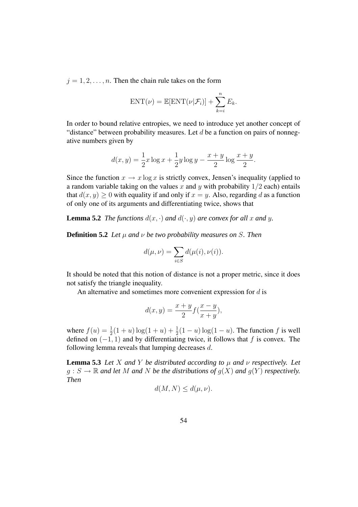$j = 1, 2, \ldots, n$ . Then the chain rule takes on the form

$$
ENT(\nu) = \mathbb{E}[ENT(\nu|\mathcal{F}_i)] + \sum_{k=i}^{n} E_k.
$$

In order to bound relative entropies, we need to introduce yet another concept of "distance" between probability measures. Let  $d$  be a function on pairs of nonnegative numbers given by

$$
d(x,y) = \frac{1}{2}x \log x + \frac{1}{2}y \log y - \frac{x+y}{2} \log \frac{x+y}{2}.
$$

Since the function  $x \to x \log x$  is strictly convex, Jensen's inequality (applied to a random variable taking on the values x and y with probability  $1/2$  each) entails that  $d(x, y) > 0$  with equality if and only if  $x = y$ . Also, regarding d as a function of only one of its arguments and differentiating twice, shows that

**Lemma 5.2** *The functions*  $d(x, \cdot)$  *and*  $d(\cdot, y)$  *are convex for all x and y.* 

**Definition 5.2** *Let*  $\mu$  *and*  $\nu$  *be two probability measures on S. Then* 

$$
d(\mu, \nu) = \sum_{i \in S} d(\mu(i), \nu(i)).
$$

It should be noted that this notion of distance is not a proper metric, since it does not satisfy the triangle inequality.

An alternative and sometimes more convenient expression for  $d$  is

$$
d(x,y) = \frac{x+y}{2} f(\frac{x-y}{x+y}),
$$

where  $f(u) = \frac{1}{2}$  $\frac{1}{2}(1+u)\log(1+u)+\frac{1}{2}$  $\frac{1}{2}(1-u)\log(1-u)$ . The function f is well defined on  $(-1, 1)$  and by differentiating twice, it follows that f is convex. The following lemma reveals that lumping decreases d.

**Lemma** 5.3 *Let X and Y be distributed according to*  $\mu$  *and*  $\nu$  *respectively.* Let  $g: S \to \mathbb{R}$  *and let* M *and* N *be the distributions of*  $g(X)$  *and*  $g(Y)$  *respectively. Then*

$$
d(M, N) \leq d(\mu, \nu).
$$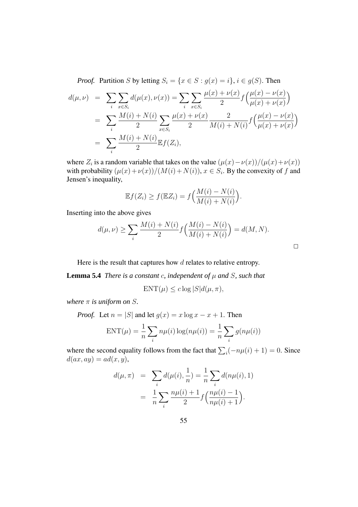*Proof.* Partition S by letting  $S_i = \{x \in S : g(x) = i\}, i \in g(S)$ . Then

$$
d(\mu, \nu) = \sum_{i} \sum_{x \in S_i} d(\mu(x), \nu(x)) = \sum_{i} \sum_{x \in S_i} \frac{\mu(x) + \nu(x)}{2} f\left(\frac{\mu(x) - \nu(x)}{\mu(x) + \nu(x)}\right)
$$
  
= 
$$
\sum_{i} \frac{M(i) + N(i)}{2} \sum_{x \in S_i} \frac{\mu(x) + \nu(x)}{2} \frac{2}{M(i) + N(i)} f\left(\frac{\mu(x) - \nu(x)}{\mu(x) + \nu(x)}\right)
$$
  
= 
$$
\sum_{i} \frac{M(i) + N(i)}{2} \mathbb{E} f(Z_i),
$$

where  $Z_i$  is a random variable that takes on the value  $(\mu(x) - \nu(x))/(\mu(x) + \nu(x))$ with probability  $(\mu(x) + \nu(x))/(M(i) + N(i)), x \in S_i$ . By the convexity of f and Jensen's inequality,

$$
\mathbb{E}f(Z_i) \ge f(\mathbb{E}Z_i) = f\Big(\frac{M(i) - N(i)}{M(i) + N(i)}\Big).
$$

Inserting into the above gives

$$
d(\mu, \nu) \ge \sum_{i} \frac{M(i) + N(i)}{2} f\left(\frac{M(i) - N(i)}{M(i) + N(i)}\right) = d(M, N).
$$

 $\Box$ 

Here is the result that captures how  $d$  relates to relative entropy.

**Lemma 5.4** *There is a constant c*, *independent of*  $\mu$  *and S*, *such that* 

$$
ENT(\mu) \le c \log |S| d(\mu, \pi),
$$

*where*  $\pi$  *is uniform on S*.

*Proof.* Let 
$$
n = |S|
$$
 and let  $g(x) = x \log x - x + 1$ . Then  
\n
$$
ENT(\mu) = \frac{1}{n} \sum_{i} n\mu(i) \log(n\mu(i)) = \frac{1}{n} \sum_{i} g(n\mu(i))
$$

where the second equality follows from the fact that  $\sum_i(-n\mu(i) + 1) = 0$ . Since  $d(ax, ay) = ad(x, y),$ 

$$
d(\mu, \pi) = \sum_{i} d(\mu(i), \frac{1}{n}) = \frac{1}{n} \sum_{i} d(n\mu(i), 1)
$$
  
= 
$$
\frac{1}{n} \sum_{i} \frac{n\mu(i) + 1}{2} f\left(\frac{n\mu(i) - 1}{n\mu(i) + 1}\right).
$$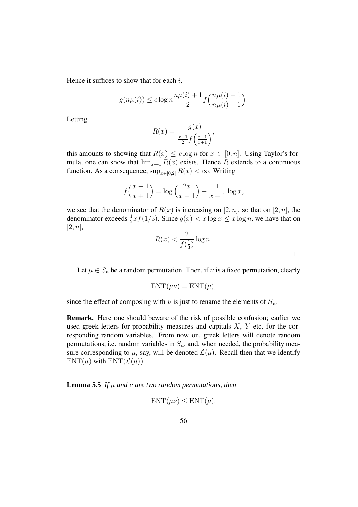Hence it suffices to show that for each  $i$ ,

$$
g(n\mu(i)) \leq c \log n \frac{n\mu(i) + 1}{2} f\left(\frac{n\mu(i) - 1}{n\mu(i) + 1}\right).
$$

Letting

$$
R(x) = \frac{g(x)}{\frac{x+1}{2}f(\frac{x-1}{x+1})},
$$

this amounts to showing that  $R(x) \leq c \log n$  for  $x \in [0, n]$ . Using Taylor's formula, one can show that  $\lim_{x\to 1} R(x)$  exists. Hence R extends to a continuous function. As a consequence,  $\sup_{x \in [0,2]} R(x) < \infty$ . Writing

$$
f\left(\frac{x-1}{x+1}\right) = \log\left(\frac{2x}{x+1}\right) - \frac{1}{x+1}\log x,
$$

we see that the denominator of  $R(x)$  is increasing on [2, n], so that on [2, n], the denominator exceeds  $\frac{1}{2}xf(1/3)$ . Since  $g(x) < x \log x \le x \log n$ , we have that on  $[2, n]$ ,

$$
R(x) < \frac{2}{f\left(\frac{1}{3}\right)} \log n. \quad \Box
$$

Let  $\mu \in S_n$  be a random permutation. Then, if  $\nu$  is a fixed permutation, clearly

$$
ENT(\mu\nu) = ENT(\mu),
$$

since the effect of composing with  $\nu$  is just to rename the elements of  $S_n$ .

**Remark.** Here one should beware of the risk of possible confusion; earlier we used greek letters for probability measures and capitals  $X$ ,  $Y$  etc, for the corresponding random variables. From now on, greek letters will denote random permutations, i.e. random variables in  $S_n$ , and, when needed, the probability measure corresponding to  $\mu$ , say, will be denoted  $\mathcal{L}(\mu)$ . Recall then that we identify  $ENT(\mu)$  with  $ENT(\mathcal{L}(\mu))$ .

**Lemma** 5.5 *If*  $\mu$  *and*  $\nu$  *are two random permutations, then* 

$$
ENT(\mu\nu) \leq ENT(\mu).
$$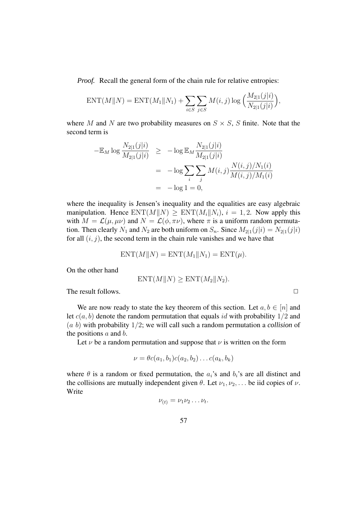*Proof.* Recall the general form of the chain rule for relative entropies:

$$
ENT(M||N) = ENT(M_1||N_1) + \sum_{i \in S} \sum_{j \in S} M(i, j) \log \Big( \frac{M_{2|1}(j|i)}{N_{2|1}(j|i)} \Big),
$$

where M and N are two probability measures on  $S \times S$ , S finite. Note that the second term is

$$
-\mathbb{E}_M \log \frac{N_{2|1}(j|i)}{M_{2|1}(j|i)} \ge -\log \mathbb{E}_M \frac{N_{2|1}(j|i)}{M_{2|1}(j|i)}
$$
  
=  $-\log \sum_i \sum_j M(i,j) \frac{N(i,j)/N_1(i)}{M(i,j)/M_1(i)}$   
=  $-\log 1 = 0$ ,

where the inequality is Jensen's inequality and the equalities are easy algebraic manipulation. Hence  $ENT(M||N) \geq ENT(M_i||N_i), i = 1, 2$ . Now apply this with  $M = \mathcal{L}(\mu, \mu\nu)$  and  $N = \mathcal{L}(\phi, \pi\nu)$ , where  $\pi$  is a uniform random permutation. Then clearly  $N_1$  and  $N_2$  are both uniform on  $S_n$ . Since  $M_{2|1}(j|i) = N_{2|1}(j|i)$ for all  $(i, j)$ , the second term in the chain rule vanishes and we have that

$$
ENT(M||N) = ENT(M_1||N_1) = ENT(\mu).
$$

On the other hand

$$
ENT(M||N) \geq ENT(M_2||N_2).
$$

The result follows.  $\Box$ 

We are now ready to state the key theorem of this section. Let  $a, b \in [n]$  and let  $c(a, b)$  denote the random permutation that equals id with probability  $1/2$  and (a b) with probability 1/2; we will call such a random permutation a *collision* of the positions  $a$  and  $b$ .

Let  $\nu$  be a random permutation and suppose that  $\nu$  is written on the form

$$
\nu = \theta c(a_1, b_1) c(a_2, b_2) \dots c(a_k, b_k)
$$

where  $\theta$  is a random or fixed permutation, the  $a_i$ 's and  $b_i$ 's are all distinct and the collisions are mutually independent given  $\theta$ . Let  $\nu_1, \nu_2, \ldots$  be iid copies of  $\nu$ . Write

$$
\nu_{(t)} = \nu_1 \nu_2 \ldots \nu_t.
$$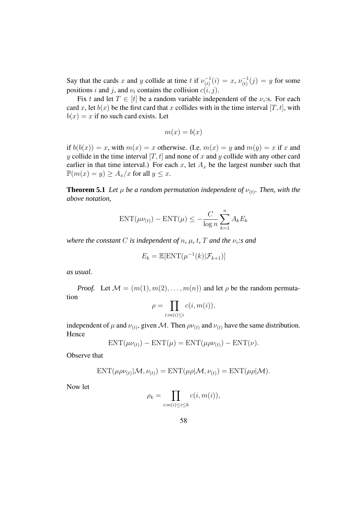Say that the cards x and y collide at time t if  $\nu_{(t)}^{-1}$  $\bar{u}_{(t)}^{-1}(i) = x, \, \nu_{(t)}^{-1}$  $\chi_{(t)}^{-1}(j) = y$  for some positions i and j, and  $\nu_t$  contains the collision  $c(i, j)$ .

Fix t and let  $T \in [t]$  be a random variable independent of the  $\nu_i$ :s. For each card x, let  $b(x)$  be the first card that x collides with in the time interval  $[T, t]$ , with  $b(x) = x$  if no such card exists. Let

$$
m(x) = b(x)
$$

if  $b(b(x)) = x$ , with  $m(x) = x$  otherwise. (I.e.  $m(x) = y$  and  $m(y) = x$  if x and y collide in the time interval  $[T, t]$  and none of x and y collide with any other card earlier in that time interval.) For each x, let  $A_x$  be the largest number such that  $\mathbb{P}(m(x) = y) \ge A_x/x$  for all  $y \le x$ .

**Theorem 5.1** Let  $\mu$  be a random permutation independent of  $\nu_{(t)}$ . Then, with the *above notation,*

$$
ENT(\mu\nu_{(t)}) - ENT(\mu) \le -\frac{C}{\log n} \sum_{k=1}^{n} A_k E_k
$$

*where the constant C is independent of n*,  $\mu$ , *t*, *T and the*  $\nu_i$ *:s and* 

$$
E_k = \mathbb{E}[\text{ENT}(\mu^{-1}(k)|\mathcal{F}_{k+1})]
$$

*as usual.*

*Proof.* Let  $M = (m(1), m(2), \ldots, m(n))$  and let  $\rho$  be the random permutation

$$
\rho = \prod_{i:m(i)\leq i} c(i,m(i)),
$$

independent of  $\mu$  and  $\nu_{(t)}$ , given M. Then  $\rho\nu_{(t)}$  and  $\nu_{(t)}$  have the same distribution. Hence

$$
ENT(\mu\nu_{(t)}) - ENT(\mu) = ENT(\mu\rho\nu_{(t)}) - ENT(\nu).
$$

Observe that

$$
ENT(\mu \rho \nu_{(t)} | \mathcal{M}, \nu_{(t)}) = ENT(\mu \rho | \mathcal{M}, \nu_{(t)}) = ENT(\mu \rho | \mathcal{M}).
$$

Now let

$$
\rho_k = \prod_{i:m(i)\leq i\leq k} c(i,m(i)),
$$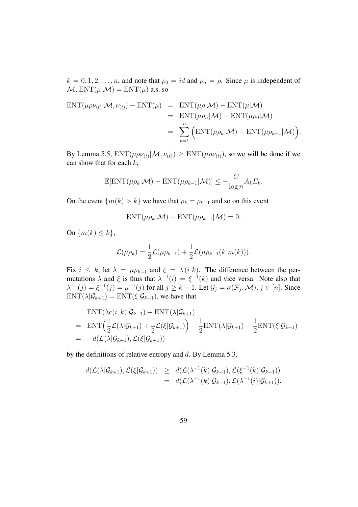$k = 0, 1, 2, \dots, n$ , and note that  $\rho_0 = id$  and  $\rho_n = \rho$ . Since  $\mu$  is independent of  $\mathcal{M}, \text{ENT}(\mu|\mathcal{M}) = \text{ENT}(\mu)$  a.s. so

$$
\begin{aligned} \text{ENT}(\mu \rho \nu_{(t)} | \mathcal{M}, \nu_{(t)}) - \text{ENT}(\mu) &= \text{ENT}(\mu \rho | \mathcal{M}) - \text{ENT}(\mu | \mathcal{M}) \\ &= \text{ENT}(\mu \rho_n | \mathcal{M}) - \text{ENT}(\mu \rho_0 | \mathcal{M}) \\ &= \sum_{k=1}^n \left( \text{ENT}(\mu \rho_k | \mathcal{M}) - \text{ENT}(\mu \rho_{k-1} | \mathcal{M}) \right). \end{aligned}
$$

By Lemma 5.5,  $ENT(\mu \rho \nu_{(t)} | M, \nu_{(t)}) \geq ENT(\mu \rho \nu_{(t)})$ , so we will be done if we can show that for each  $k$ ,

$$
\mathbb{E}[\text{ENT}(\mu \rho_k | \mathcal{M}) - \text{ENT}(\mu \rho_{k-1} | \mathcal{M})] \le -\frac{C}{\log n} A_k E_k.
$$

On the event  $\{m(k) > k\}$  we have that  $\rho_k = \rho_{k-1}$  and so on this event

$$
ENT(\mu \rho_k | \mathcal{M}) - ENT(\mu \rho_{k-1} | \mathcal{M}) = 0.
$$

On  $\{m(k) \leq k\},\$ 

$$
\mathcal{L}(\mu \rho_k) = \frac{1}{2} \mathcal{L}(\mu \rho_{k-1}) + \frac{1}{2} \mathcal{L}(\mu \rho_{k-1}(k \ m(k))).
$$

Fix  $i \leq k$ , let  $\lambda = \mu \rho_{k-1}$  and  $\xi = \lambda (i k)$ . The difference between the permutations  $\lambda$  and  $\xi$  is thus that  $\lambda^{-1}(i) = \xi^{-1}(k)$  and vice versa. Note also that  $\lambda^{-1}(j) = \xi^{-1}(j) = \mu^{-1}(j)$  for all  $j \ge k + 1$ . Let  $\mathcal{G}_j = \sigma(\mathcal{F}_j, \mathcal{M})$ ,  $j \in [n]$ . Since  $ENT(\lambda|\mathcal{G}_{k+1}) = ENT(\xi|\mathcal{G}_{k+1})$ , we have that

$$
\begin{aligned} &\text{ENT}(\lambda c(i,k)|\mathcal{G}_{k+1}) - \text{ENT}(\lambda|\mathcal{G}_{k+1}) \\ &= \text{ENT}\Big(\frac{1}{2}\mathcal{L}(\lambda|\mathcal{G}_{k+1}) + \frac{1}{2}\mathcal{L}(\xi|\mathcal{G}_{k+1})\Big) - \frac{1}{2}\text{ENT}(\lambda|\mathcal{G}_{k+1}) - \frac{1}{2}\text{ENT}(\xi|\mathcal{G}_{k+1}) \\ &= -d(\mathcal{L}(\lambda|\mathcal{G}_{k+1}), \mathcal{L}(\xi|\mathcal{G}_{k+1})) \end{aligned}
$$

by the definitions of relative entropy and d. By Lemma 5.3,

$$
d(\mathcal{L}(\lambda|\mathcal{G}_{k+1}),\mathcal{L}(\xi|\mathcal{G}_{k+1})) \geq d(\mathcal{L}(\lambda^{-1}(k)|\mathcal{G}_{k+1}),\mathcal{L}(\xi^{-1}(k)|\mathcal{G}_{k+1}))
$$
  
= 
$$
d(\mathcal{L}(\lambda^{-1}(k)|\mathcal{G}_{k+1}),\mathcal{L}(\lambda^{-1}(i)|\mathcal{G}_{k+1})).
$$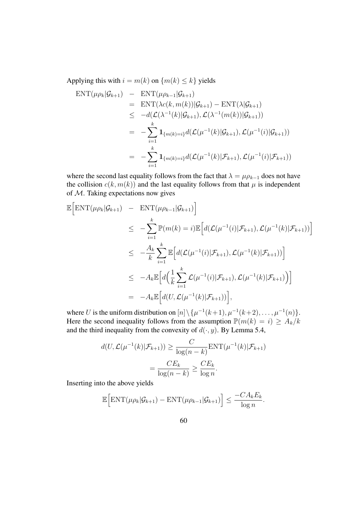Applying this with  $i = m(k)$  on  $\{m(k) \leq k\}$  yields

$$
\begin{aligned}\n\text{ENT}(\mu \rho_k | \mathcal{G}_{k+1}) &= \text{ENT}(\mu \rho_{k-1} | \mathcal{G}_{k+1}) \\
&= \text{ENT}(\lambda c(k, m(k)) | \mathcal{G}_{k+1}) - \text{ENT}(\lambda | \mathcal{G}_{k+1}) \\
&\leq -d(\mathcal{L}(\lambda^{-1}(k) | \mathcal{G}_{k+1}), \mathcal{L}(\lambda^{-1}(m(k)) | \mathcal{G}_{k+1})) \\
&= -\sum_{i=1}^k \mathbf{1}_{\{m(k)=i\}} d(\mathcal{L}(\mu^{-1}(k) | \mathcal{G}_{k+1}), \mathcal{L}(\mu^{-1}(i) | \mathcal{G}_{k+1})) \\
&= -\sum_{i=1}^k \mathbf{1}_{\{m(k)=i\}} d(\mathcal{L}(\mu^{-1}(k) | \mathcal{F}_{k+1}), \mathcal{L}(\mu^{-1}(i) | \mathcal{F}_{k+1}))\n\end{aligned}
$$

where the second last equality follows from the fact that  $\lambda = \mu \rho_{k-1}$  does not have the collision  $c(k, m(k))$  and the last equality follows from that  $\mu$  is independent of M. Taking expectations now gives

$$
\mathbb{E}\Big[\text{ENT}(\mu\rho_k|\mathcal{G}_{k+1}) - \text{ENT}(\mu\rho_{k-1}|\mathcal{G}_{k+1})\Big] \n\leq -\sum_{i=1}^k \mathbb{P}(m(k) = i) \mathbb{E}\Big[d(\mathcal{L}(\mu^{-1}(i)|\mathcal{F}_{k+1}), \mathcal{L}(\mu^{-1}(k)|\mathcal{F}_{k+1}))\Big] \n\leq -\frac{A_k}{k} \sum_{i=1}^k \mathbb{E}\Big[d(\mathcal{L}(\mu^{-1}(i)|\mathcal{F}_{k+1}), \mathcal{L}(\mu^{-1}(k)|\mathcal{F}_{k+1}))\Big] \n\leq -A_k \mathbb{E}\Big[d\Big(\frac{1}{k}\sum_{i=1}^k \mathcal{L}(\mu^{-1}(i)|\mathcal{F}_{k+1}), \mathcal{L}(\mu^{-1}(k)|\mathcal{F}_{k+1})\Big)\Big] \n= -A_k \mathbb{E}\Big[d(U, \mathcal{L}(\mu^{-1}(k)|\mathcal{F}_{k+1}))\Big],
$$

where U is the uniform distribution on  $[n] \setminus {\mu^{-1}(k+1), \mu^{-1}(k+2), \ldots, \mu^{-1}(n)}.$ Here the second inequality follows from the assumption  $\mathbb{P}(m(k) = i) \ge A_k/k$ and the third inequality from the convexity of  $d(\cdot, y)$ . By Lemma 5.4,

$$
d(U, \mathcal{L}(\mu^{-1}(k)|\mathcal{F}_{k+1})) \ge \frac{C}{\log(n-k)} \text{ENT}(\mu^{-1}(k)|\mathcal{F}_{k+1})
$$

$$
= \frac{CE_k}{\log(n-k)} \ge \frac{CE_k}{\log n}.
$$

Inserting into the above yields

$$
\mathbb{E}\Big[\text{ENT}(\mu \rho_k | \mathcal{G}_{k+1}) - \text{ENT}(\mu \rho_{k-1} | \mathcal{G}_{k+1})\Big] \leq \frac{-CA_k E_k}{\log n}.
$$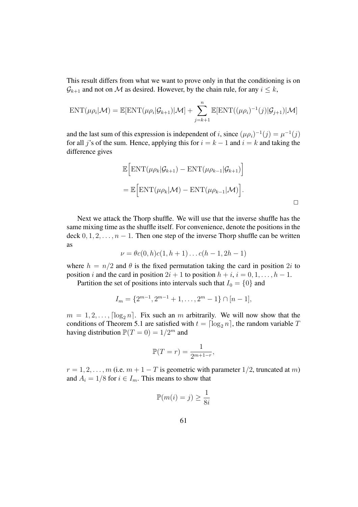This result differs from what we want to prove only in that the conditioning is on  $\mathcal{G}_{k+1}$  and not on M as desired. However, by the chain rule, for any  $i \leq k$ ,

$$
ENT(\mu \rho_i | \mathcal{M}) = \mathbb{E}[\text{ENT}(\mu \rho_i | \mathcal{G}_{k+1}) | \mathcal{M}] + \sum_{j=k+1}^n \mathbb{E}[\text{ENT}((\mu \rho_i)^{-1}(j) | \mathcal{G}_{j+1}) | \mathcal{M}]
$$

and the last sum of this expression is independent of i, since  $(\mu \rho_i)^{-1}(j) = \mu^{-1}(j)$ for all j's of the sum. Hence, applying this for  $i = k - 1$  and  $i = k$  and taking the difference gives

$$
\mathbb{E}\Big[\text{ENT}(\mu\rho_k|\mathcal{G}_{k+1}) - \text{ENT}(\mu\rho_{k-1}|\mathcal{G}_{k+1})\Big] \n= \mathbb{E}\Big[\text{ENT}(\mu\rho_k|\mathcal{M}) - \text{ENT}(\mu\rho_{k-1}|\mathcal{M})\Big].
$$

Next we attack the Thorp shuffle. We will use that the inverse shuffle has the same mixing time as the shuffle itself. For convenience, denote the positions in the deck  $0, 1, 2, \ldots, n - 1$ . Then one step of the inverse Thorp shuffle can be written as

$$
\nu = \theta c(0, h)c(1, h + 1) \dots c(h - 1, 2h - 1)
$$

where  $h = n/2$  and  $\theta$  is the fixed permutation taking the card in position 2*i* to position i and the card in position  $2i + 1$  to position  $h + i$ ,  $i = 0, 1, \ldots, h - 1$ .

Partition the set of positions into intervals such that  $I_0 = \{0\}$  and

$$
I_m = \{2^{m-1}, 2^{m-1} + 1, \dots, 2^m - 1\} \cap [n-1],
$$

 $m = 1, 2, \ldots, \lceil \log_2 n \rceil$ . Fix such an m arbitrarily. We will now show that the conditions of Theorem 5.1 are satisfied with  $t = \lceil \log_2 n \rceil$ , the random variable T having distribution  $\mathbb{P}(T=0) = 1/2^m$  and

$$
\mathbb{P}(T=r) = \frac{1}{2^{m+1-r}},
$$

 $r = 1, 2, \ldots, m$  (i.e.  $m + 1 - T$  is geometric with parameter  $1/2$ , truncated at m) and  $A_i = 1/8$  for  $i \in I_m$ . This means to show that

$$
\mathbb{P}(m(i) = j) \ge \frac{1}{8i}
$$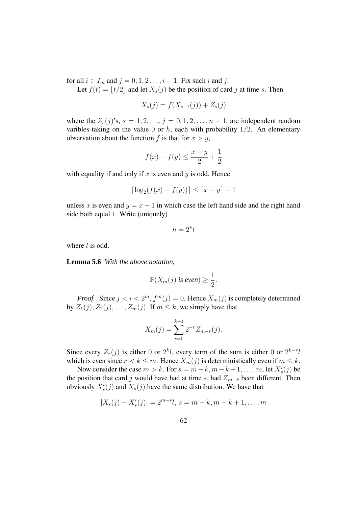for all  $i \in I_m$  and  $j = 0, 1, 2 \ldots, i - 1$ . Fix such i and j.

Let  $f(t) = |t/2|$  and let  $X_s(j)$  be the position of card j at time s. Then

$$
X_s(j) = f(X_{s-1}(j)) + Z_s(j)
$$

where the  $Z_s(j)$ 's,  $s = 1, 2, \ldots, j = 0, 1, 2, \ldots, n-1$ , are independent random varibles taking on the value 0 or h, each with probability  $1/2$ . An elementary observation about the function f is that for  $x > y$ ,

$$
f(x) - f(y) \le \frac{x - y}{2} + \frac{1}{2}
$$

with equality if and only if x is even and y is odd. Hence

$$
\lceil \log_2(f(x) - f(y)) \rceil \le \lceil x - y \rceil - 1
$$

unless x is even and  $y = x - 1$  in which case the left hand side and the right hand side both equal 1. Write (uniquely)

$$
h = 2^k l
$$

where  $l$  is odd.

**Lemma 5.6** *With the above notation,*

$$
\mathbb{P}(X_m(j) \text{ is even}) \geq \frac{1}{2}.
$$

*Proof.* Since  $j < i < 2^m$ ,  $f^m(j) = 0$ . Hence  $X_m(j)$  is completely determined by  $Z_1(j), Z_2(j), \ldots, Z_m(j)$ . If  $m \leq k$ , we simply have that

$$
X_m(j) = \sum_{r=0}^{k-1} 2^{-r} Z_{m-r}(j).
$$

Since every  $Z_r(j)$  is either 0 or  $2^k l$ , every term of the sum is either 0 or  $2^{k-r}l$ which is even since  $r < k \leq m$ . Hence  $X_m(j)$  is deterministically even if  $m \leq k$ .

Now consider the case  $m > k$ . For  $s = m - k, m - k + 1, \dots, m$ , let  $X'_s(j)$  be the position that card j would have had at time s, had  $Z_{m-k}$  been different. Then obviously  $X'_s(j)$  and  $X_s(j)$  have the same distribution. We have that

$$
|X_s(j) - X'_s(j)| = 2^{m-s}l, \ s = m - k, m - k + 1, \dots, m
$$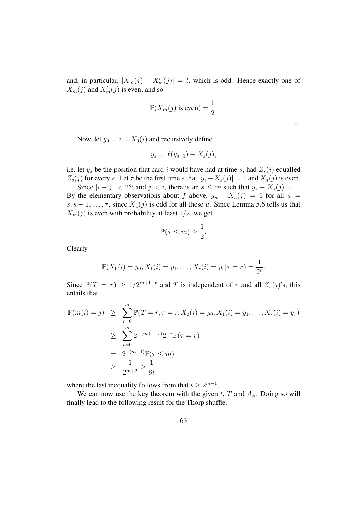and, in particular,  $|X_m(j) - X'_m(j)| = l$ , which is odd. Hence exactly one of  $X_m(j)$  and  $X'_m(j)$  is even, and so

$$
\mathbb{P}(X_m(j) \text{ is even}) = \frac{1}{2}.
$$

 $\Box$ 

Now, let  $y_0 = i = X_0(i)$  and recursively define

$$
y_s = f(y_{s-1}) + X_s(j),
$$

i.e. let  $y_s$  be the position that card i would have had at time s, had  $Z_s(i)$  equalled  $Z_s(j)$  for every s. Let  $\tau$  be the first time s that  $|y_s - X_s(j)| = 1$  and  $X_s(j)$  is even.

Since  $|i - j| < 2^m$  and  $j < i$ , there is an  $s \le m$  such that  $y_s - X_s(j) = 1$ . By the elementary observations about f above,  $y_u - X_u(j) = 1$  for all  $u =$  $s, s + 1, \ldots, \tau$ , since  $X_u(j)$  is odd for all these u. Since Lemma 5.6 tells us that  $X_m(j)$  is even with probability at least 1/2, we get

$$
\mathbb{P}(\tau \le m) \ge \frac{1}{2}.
$$

Clearly

$$
\mathbb{P}(X_0(i) = y_0, X_1(i) = y_1, \dots, X_r(i) = y_r | \tau = r) = \frac{1}{2^r}.
$$

Since  $\mathbb{P}(T = r) \ge 1/2^{m+1-r}$  and T is independent of  $\tau$  and all  $Z_s(j)$ 's, this entails that

$$
\mathbb{P}(m(i) = j) \geq \sum_{r=0}^{m} \mathbb{P}(T = r, \tau = r, X_0(i) = y_0, X_1(i) = y_1, \dots, X_r(i) = y_r)
$$
  
\n
$$
\geq \sum_{r=0}^{m} 2^{-(m+1-r)} 2^{-r} \mathbb{P}(\tau = r)
$$
  
\n
$$
= 2^{-(m+1)} \mathbb{P}(\tau \leq m)
$$
  
\n
$$
\geq \frac{1}{2^{m+2}} \geq \frac{1}{8i}
$$

where the last inequality follows from that  $i \geq 2^{m-1}$ .

We can now use the key theorem with the given t, T and  $A_k$ . Doing so will finally lead to the following result for the Thorp shuffle.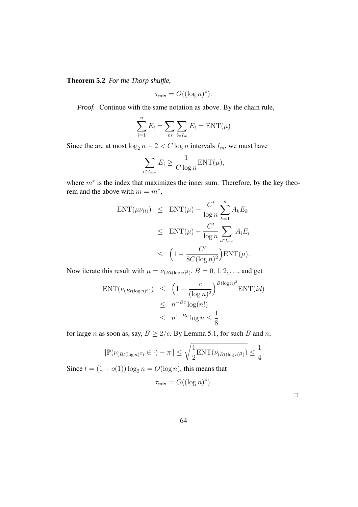**Theorem 5.2** *For the Thorp shuffle,*

$$
\tau_{\text{mix}} = O((\log n)^4).
$$

*Proof.* Continue with the same notation as above. By the chain rule,

$$
\sum_{i=1}^{n} E_i = \sum_{m} \sum_{i \in I_m} E_i = \text{ENT}(\mu)
$$

Since the are at most  $\log_2 n + 2 < C \log n$  intervals  $I_m$ , we must have

$$
\sum_{i \in I_{m^*}} E_i \ge \frac{1}{C \log n} \text{ENT}(\mu),
$$

where  $m^*$  is the index that maximizes the inner sum. Therefore, by the key theorem and the above with  $m = m^*$ ,

$$
ENT(\mu \nu_{(t)}) \leq ENT(\mu) - \frac{C'}{\log n} \sum_{k=1}^{n} A_k E_k
$$
  

$$
\leq ENT(\mu) - \frac{C'}{\log n} \sum_{i \in I_{m^*}} A_i E_i
$$
  

$$
\leq \left(1 - \frac{C'}{8C(\log n)^2}\right) ENT(\mu).
$$

Now iterate this result with  $\mu = \nu_{(Bt(\log n)^3)}, B = 0, 1, 2, \dots$ , and get

$$
\text{ENT}(\nu_{(Bt(\log n)^3)}) \leq \left(1 - \frac{c}{(\log n)^2}\right)^{B(\log n)^3} \text{ENT}(id)
$$
  

$$
\leq n^{-Bc} \log(n!)
$$
  

$$
\leq n^{1 - Bc} \log n \leq \frac{1}{8}
$$

for large *n* as soon as, say,  $B \ge 2/c$ . By Lemma 5.1, for such *B* and *n*,

$$
\|\mathbb{P}(\nu_{(Bt(\log n)^3)} \in \cdot) - \pi\| \leq \sqrt{\frac{1}{2} \text{ENT}(\nu_{(Bt(\log n)^3)})} \leq \frac{1}{4}.
$$

Since  $t = (1 + o(1)) \log_2 n = O(\log n)$ , this means that

$$
\tau_{\text{mix}} = O((\log n)^4).
$$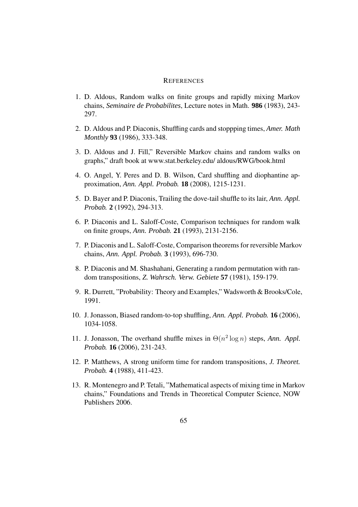#### **REFERENCES**

- 1. D. Aldous, Random walks on finite groups and rapidly mixing Markov chains, *Seminaire de Probabilites*, Lecture notes in Math. **986** (1983), 243- 297.
- 2. D. Aldous and P. Diaconis, Shuffling cards and stoppping times, *Amer. Math Monthly* **93** (1986), 333-348.
- 3. D. Aldous and J. Fill," Reversible Markov chains and random walks on graphs," draft book at www.stat.berkeley.edu/ aldous/RWG/book.html
- 4. O. Angel, Y. Peres and D. B. Wilson, Card shuffling and diophantine approximation, *Ann. Appl. Probab.* **18** (2008), 1215-1231.
- 5. D. Bayer and P. Diaconis, Trailing the dove-tail shuffle to its lair, *Ann. Appl. Probab.* **2** (1992), 294-313.
- 6. P. Diaconis and L. Saloff-Coste, Comparison techniques for random walk on finite groups, *Ann. Probab.* **21** (1993), 2131-2156.
- 7. P. Diaconis and L. Saloff-Coste, Comparison theorems for reversible Markov chains, *Ann. Appl. Probab.* **3** (1993), 696-730.
- 8. P. Diaconis and M. Shashahani, Generating a random permutation with random transpositions, *Z. Wahrsch. Verw. Gebiete* **57** (1981), 159-179.
- 9. R. Durrett, "Probability: Theory and Examples," Wadsworth & Brooks/Cole, 1991.
- 10. J. Jonasson, Biased random-to-top shuffling, *Ann. Appl. Probab.* **16** (2006), 1034-1058.
- 11. J. Jonasson, The overhand shuffle mixes in  $\Theta(n^2 \log n)$  steps, *Ann. Appl. Probab.* **16** (2006), 231-243.
- 12. P. Matthews, A strong uniform time for random transpositions, *J. Theoret. Probab.* **4** (1988), 411-423.
- 13. R. Montenegro and P. Tetali, "Mathematical aspects of mixing time in Markov chains," Foundations and Trends in Theoretical Computer Science, NOW Publishers 2006.